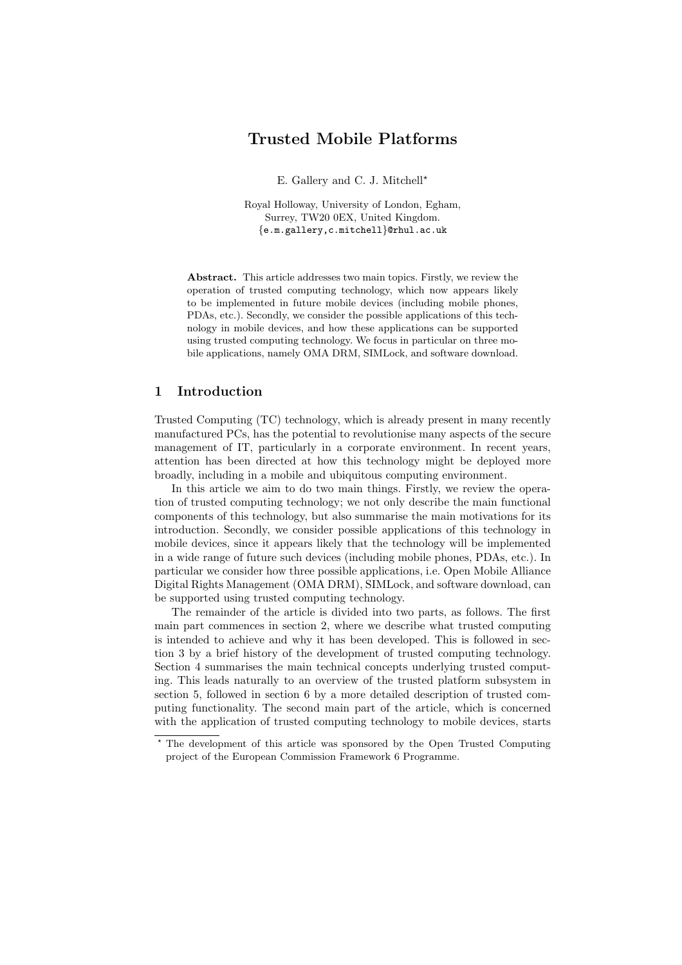# Trusted Mobile Platforms

E. Gallery and C. J. Mitchell\*

Royal Holloway, University of London, Egham, Surrey, TW20 0EX, United Kingdom. {e.m.gallery,c.mitchell}@rhul.ac.uk

Abstract. This article addresses two main topics. Firstly, we review the operation of trusted computing technology, which now appears likely to be implemented in future mobile devices (including mobile phones, PDAs, etc.). Secondly, we consider the possible applications of this technology in mobile devices, and how these applications can be supported using trusted computing technology. We focus in particular on three mobile applications, namely OMA DRM, SIMLock, and software download.

# 1 Introduction

Trusted Computing (TC) technology, which is already present in many recently manufactured PCs, has the potential to revolutionise many aspects of the secure management of IT, particularly in a corporate environment. In recent years, attention has been directed at how this technology might be deployed more broadly, including in a mobile and ubiquitous computing environment.

In this article we aim to do two main things. Firstly, we review the operation of trusted computing technology; we not only describe the main functional components of this technology, but also summarise the main motivations for its introduction. Secondly, we consider possible applications of this technology in mobile devices, since it appears likely that the technology will be implemented in a wide range of future such devices (including mobile phones, PDAs, etc.). In particular we consider how three possible applications, i.e. Open Mobile Alliance Digital Rights Management (OMA DRM), SIMLock, and software download, can be supported using trusted computing technology.

The remainder of the article is divided into two parts, as follows. The first main part commences in section 2, where we describe what trusted computing is intended to achieve and why it has been developed. This is followed in section 3 by a brief history of the development of trusted computing technology. Section 4 summarises the main technical concepts underlying trusted computing. This leads naturally to an overview of the trusted platform subsystem in section 5, followed in section 6 by a more detailed description of trusted computing functionality. The second main part of the article, which is concerned with the application of trusted computing technology to mobile devices, starts

<sup>?</sup> The development of this article was sponsored by the Open Trusted Computing project of the European Commission Framework 6 Programme.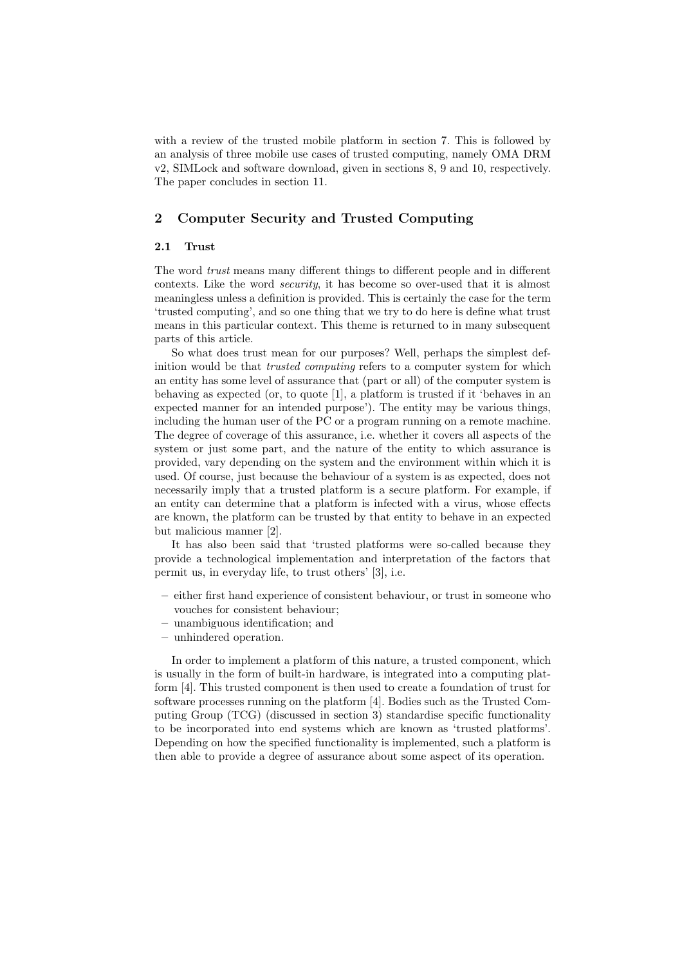with a review of the trusted mobile platform in section 7. This is followed by an analysis of three mobile use cases of trusted computing, namely OMA DRM v2, SIMLock and software download, given in sections 8, 9 and 10, respectively. The paper concludes in section 11.

# 2 Computer Security and Trusted Computing

# 2.1 Trust

The word *trust* means many different things to different people and in different contexts. Like the word security, it has become so over-used that it is almost meaningless unless a definition is provided. This is certainly the case for the term 'trusted computing', and so one thing that we try to do here is define what trust means in this particular context. This theme is returned to in many subsequent parts of this article.

So what does trust mean for our purposes? Well, perhaps the simplest definition would be that *trusted computing* refers to a computer system for which an entity has some level of assurance that (part or all) of the computer system is behaving as expected (or, to quote [1], a platform is trusted if it 'behaves in an expected manner for an intended purpose'). The entity may be various things, including the human user of the PC or a program running on a remote machine. The degree of coverage of this assurance, i.e. whether it covers all aspects of the system or just some part, and the nature of the entity to which assurance is provided, vary depending on the system and the environment within which it is used. Of course, just because the behaviour of a system is as expected, does not necessarily imply that a trusted platform is a secure platform. For example, if an entity can determine that a platform is infected with a virus, whose effects are known, the platform can be trusted by that entity to behave in an expected but malicious manner [2].

It has also been said that 'trusted platforms were so-called because they provide a technological implementation and interpretation of the factors that permit us, in everyday life, to trust others' [3], i.e.

- either first hand experience of consistent behaviour, or trust in someone who vouches for consistent behaviour;
- unambiguous identification; and
- unhindered operation.

In order to implement a platform of this nature, a trusted component, which is usually in the form of built-in hardware, is integrated into a computing platform [4]. This trusted component is then used to create a foundation of trust for software processes running on the platform [4]. Bodies such as the Trusted Computing Group (TCG) (discussed in section 3) standardise specific functionality to be incorporated into end systems which are known as 'trusted platforms'. Depending on how the specified functionality is implemented, such a platform is then able to provide a degree of assurance about some aspect of its operation.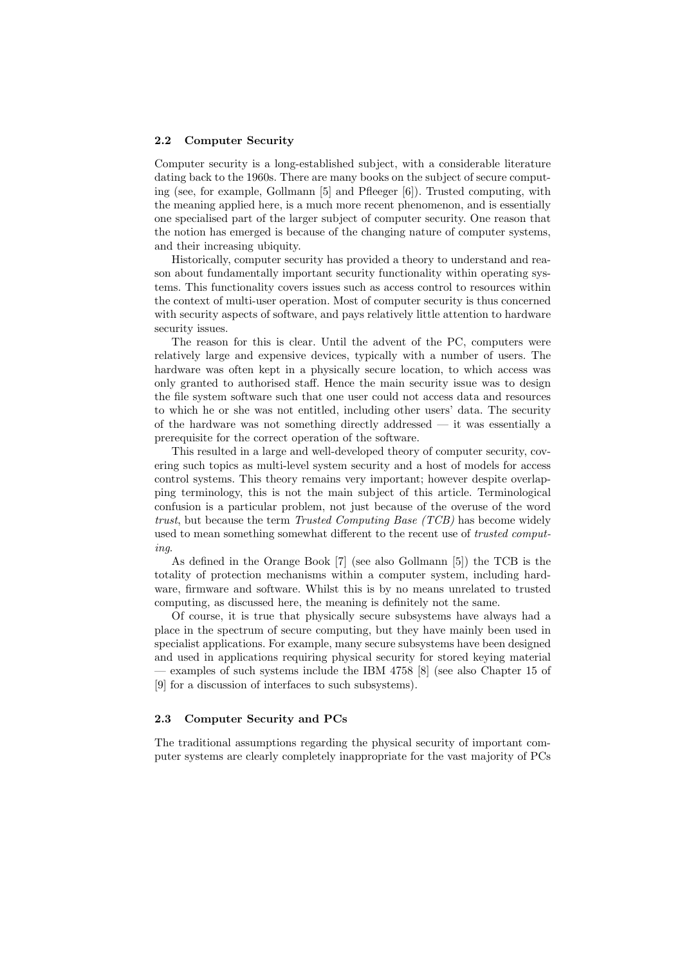#### 2.2 Computer Security

Computer security is a long-established subject, with a considerable literature dating back to the 1960s. There are many books on the subject of secure computing (see, for example, Gollmann [5] and Pfleeger [6]). Trusted computing, with the meaning applied here, is a much more recent phenomenon, and is essentially one specialised part of the larger subject of computer security. One reason that the notion has emerged is because of the changing nature of computer systems, and their increasing ubiquity.

Historically, computer security has provided a theory to understand and reason about fundamentally important security functionality within operating systems. This functionality covers issues such as access control to resources within the context of multi-user operation. Most of computer security is thus concerned with security aspects of software, and pays relatively little attention to hardware security issues.

The reason for this is clear. Until the advent of the PC, computers were relatively large and expensive devices, typically with a number of users. The hardware was often kept in a physically secure location, to which access was only granted to authorised staff. Hence the main security issue was to design the file system software such that one user could not access data and resources to which he or she was not entitled, including other users' data. The security of the hardware was not something directly addressed — it was essentially a prerequisite for the correct operation of the software.

This resulted in a large and well-developed theory of computer security, covering such topics as multi-level system security and a host of models for access control systems. This theory remains very important; however despite overlapping terminology, this is not the main subject of this article. Terminological confusion is a particular problem, not just because of the overuse of the word trust, but because the term Trusted Computing Base (TCB) has become widely used to mean something somewhat different to the recent use of trusted computing.

As defined in the Orange Book [7] (see also Gollmann [5]) the TCB is the totality of protection mechanisms within a computer system, including hardware, firmware and software. Whilst this is by no means unrelated to trusted computing, as discussed here, the meaning is definitely not the same.

Of course, it is true that physically secure subsystems have always had a place in the spectrum of secure computing, but they have mainly been used in specialist applications. For example, many secure subsystems have been designed and used in applications requiring physical security for stored keying material — examples of such systems include the IBM 4758 [8] (see also Chapter 15 of [9] for a discussion of interfaces to such subsystems).

### 2.3 Computer Security and PCs

The traditional assumptions regarding the physical security of important computer systems are clearly completely inappropriate for the vast majority of PCs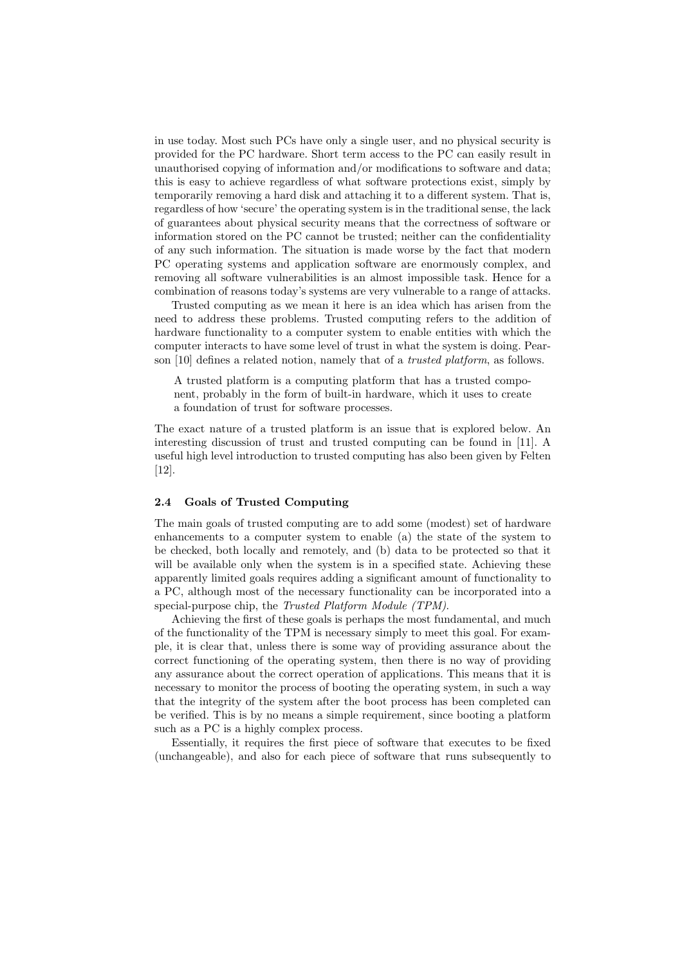in use today. Most such PCs have only a single user, and no physical security is provided for the PC hardware. Short term access to the PC can easily result in unauthorised copying of information and/or modifications to software and data; this is easy to achieve regardless of what software protections exist, simply by temporarily removing a hard disk and attaching it to a different system. That is, regardless of how 'secure' the operating system is in the traditional sense, the lack of guarantees about physical security means that the correctness of software or information stored on the PC cannot be trusted; neither can the confidentiality of any such information. The situation is made worse by the fact that modern PC operating systems and application software are enormously complex, and removing all software vulnerabilities is an almost impossible task. Hence for a combination of reasons today's systems are very vulnerable to a range of attacks.

Trusted computing as we mean it here is an idea which has arisen from the need to address these problems. Trusted computing refers to the addition of hardware functionality to a computer system to enable entities with which the computer interacts to have some level of trust in what the system is doing. Pearson [10] defines a related notion, namely that of a trusted platform, as follows.

A trusted platform is a computing platform that has a trusted component, probably in the form of built-in hardware, which it uses to create a foundation of trust for software processes.

The exact nature of a trusted platform is an issue that is explored below. An interesting discussion of trust and trusted computing can be found in [11]. A useful high level introduction to trusted computing has also been given by Felten [12].

# 2.4 Goals of Trusted Computing

The main goals of trusted computing are to add some (modest) set of hardware enhancements to a computer system to enable (a) the state of the system to be checked, both locally and remotely, and (b) data to be protected so that it will be available only when the system is in a specified state. Achieving these apparently limited goals requires adding a significant amount of functionality to a PC, although most of the necessary functionality can be incorporated into a special-purpose chip, the Trusted Platform Module (TPM).

Achieving the first of these goals is perhaps the most fundamental, and much of the functionality of the TPM is necessary simply to meet this goal. For example, it is clear that, unless there is some way of providing assurance about the correct functioning of the operating system, then there is no way of providing any assurance about the correct operation of applications. This means that it is necessary to monitor the process of booting the operating system, in such a way that the integrity of the system after the boot process has been completed can be verified. This is by no means a simple requirement, since booting a platform such as a PC is a highly complex process.

Essentially, it requires the first piece of software that executes to be fixed (unchangeable), and also for each piece of software that runs subsequently to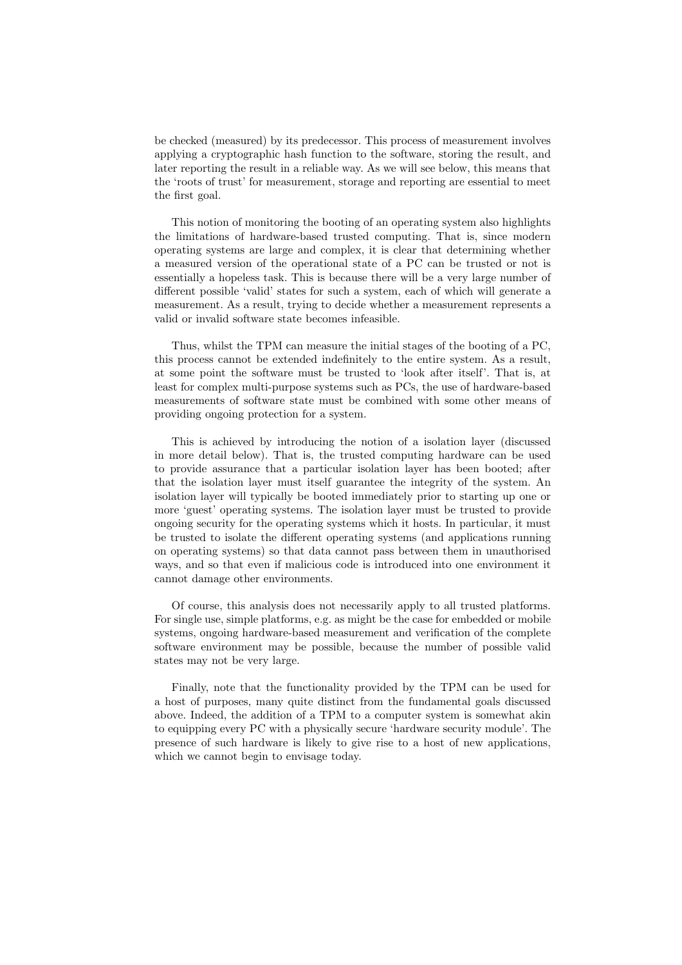be checked (measured) by its predecessor. This process of measurement involves applying a cryptographic hash function to the software, storing the result, and later reporting the result in a reliable way. As we will see below, this means that the 'roots of trust' for measurement, storage and reporting are essential to meet the first goal.

This notion of monitoring the booting of an operating system also highlights the limitations of hardware-based trusted computing. That is, since modern operating systems are large and complex, it is clear that determining whether a measured version of the operational state of a PC can be trusted or not is essentially a hopeless task. This is because there will be a very large number of different possible 'valid' states for such a system, each of which will generate a measurement. As a result, trying to decide whether a measurement represents a valid or invalid software state becomes infeasible.

Thus, whilst the TPM can measure the initial stages of the booting of a PC, this process cannot be extended indefinitely to the entire system. As a result, at some point the software must be trusted to 'look after itself'. That is, at least for complex multi-purpose systems such as PCs, the use of hardware-based measurements of software state must be combined with some other means of providing ongoing protection for a system.

This is achieved by introducing the notion of a isolation layer (discussed in more detail below). That is, the trusted computing hardware can be used to provide assurance that a particular isolation layer has been booted; after that the isolation layer must itself guarantee the integrity of the system. An isolation layer will typically be booted immediately prior to starting up one or more 'guest' operating systems. The isolation layer must be trusted to provide ongoing security for the operating systems which it hosts. In particular, it must be trusted to isolate the different operating systems (and applications running on operating systems) so that data cannot pass between them in unauthorised ways, and so that even if malicious code is introduced into one environment it cannot damage other environments.

Of course, this analysis does not necessarily apply to all trusted platforms. For single use, simple platforms, e.g. as might be the case for embedded or mobile systems, ongoing hardware-based measurement and verification of the complete software environment may be possible, because the number of possible valid states may not be very large.

Finally, note that the functionality provided by the TPM can be used for a host of purposes, many quite distinct from the fundamental goals discussed above. Indeed, the addition of a TPM to a computer system is somewhat akin to equipping every PC with a physically secure 'hardware security module'. The presence of such hardware is likely to give rise to a host of new applications, which we cannot begin to envisage today.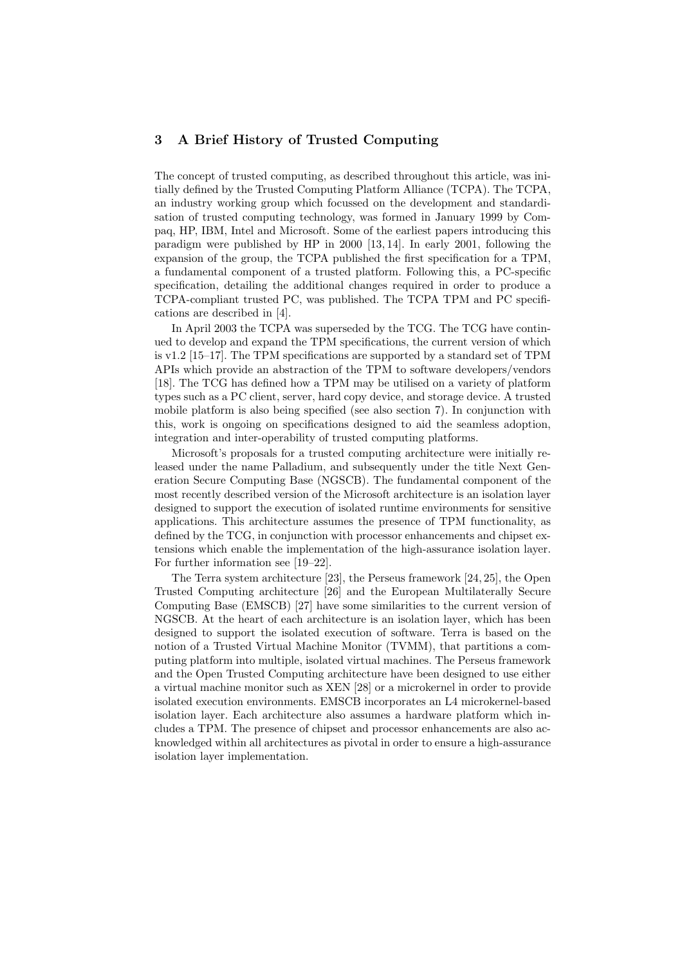# 3 A Brief History of Trusted Computing

The concept of trusted computing, as described throughout this article, was initially defined by the Trusted Computing Platform Alliance (TCPA). The TCPA, an industry working group which focussed on the development and standardisation of trusted computing technology, was formed in January 1999 by Compaq, HP, IBM, Intel and Microsoft. Some of the earliest papers introducing this paradigm were published by HP in 2000 [13, 14]. In early 2001, following the expansion of the group, the TCPA published the first specification for a TPM, a fundamental component of a trusted platform. Following this, a PC-specific specification, detailing the additional changes required in order to produce a TCPA-compliant trusted PC, was published. The TCPA TPM and PC specifications are described in [4].

In April 2003 the TCPA was superseded by the TCG. The TCG have continued to develop and expand the TPM specifications, the current version of which is v1.2 [15–17]. The TPM specifications are supported by a standard set of TPM APIs which provide an abstraction of the TPM to software developers/vendors [18]. The TCG has defined how a TPM may be utilised on a variety of platform types such as a PC client, server, hard copy device, and storage device. A trusted mobile platform is also being specified (see also section 7). In conjunction with this, work is ongoing on specifications designed to aid the seamless adoption, integration and inter-operability of trusted computing platforms.

Microsoft's proposals for a trusted computing architecture were initially released under the name Palladium, and subsequently under the title Next Generation Secure Computing Base (NGSCB). The fundamental component of the most recently described version of the Microsoft architecture is an isolation layer designed to support the execution of isolated runtime environments for sensitive applications. This architecture assumes the presence of TPM functionality, as defined by the TCG, in conjunction with processor enhancements and chipset extensions which enable the implementation of the high-assurance isolation layer. For further information see [19–22].

The Terra system architecture [23], the Perseus framework [24, 25], the Open Trusted Computing architecture [26] and the European Multilaterally Secure Computing Base (EMSCB) [27] have some similarities to the current version of NGSCB. At the heart of each architecture is an isolation layer, which has been designed to support the isolated execution of software. Terra is based on the notion of a Trusted Virtual Machine Monitor (TVMM), that partitions a computing platform into multiple, isolated virtual machines. The Perseus framework and the Open Trusted Computing architecture have been designed to use either a virtual machine monitor such as XEN [28] or a microkernel in order to provide isolated execution environments. EMSCB incorporates an L4 microkernel-based isolation layer. Each architecture also assumes a hardware platform which includes a TPM. The presence of chipset and processor enhancements are also acknowledged within all architectures as pivotal in order to ensure a high-assurance isolation layer implementation.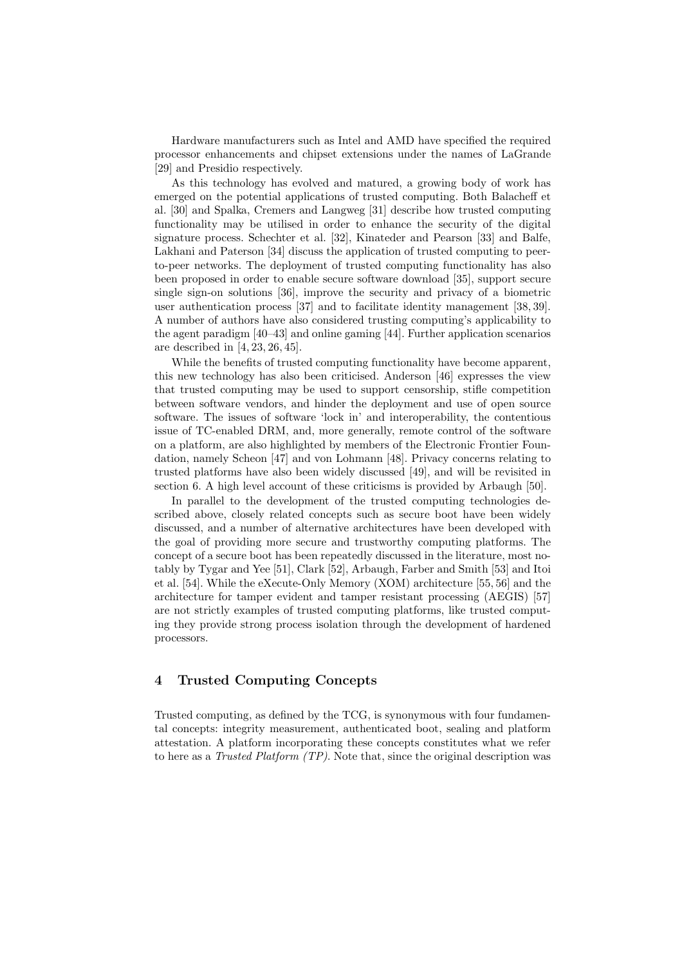Hardware manufacturers such as Intel and AMD have specified the required processor enhancements and chipset extensions under the names of LaGrande [29] and Presidio respectively.

As this technology has evolved and matured, a growing body of work has emerged on the potential applications of trusted computing. Both Balacheff et al. [30] and Spalka, Cremers and Langweg [31] describe how trusted computing functionality may be utilised in order to enhance the security of the digital signature process. Schechter et al. [32], Kinateder and Pearson [33] and Balfe, Lakhani and Paterson [34] discuss the application of trusted computing to peerto-peer networks. The deployment of trusted computing functionality has also been proposed in order to enable secure software download [35], support secure single sign-on solutions [36], improve the security and privacy of a biometric user authentication process [37] and to facilitate identity management [38, 39]. A number of authors have also considered trusting computing's applicability to the agent paradigm [40–43] and online gaming [44]. Further application scenarios are described in [4, 23, 26, 45].

While the benefits of trusted computing functionality have become apparent, this new technology has also been criticised. Anderson [46] expresses the view that trusted computing may be used to support censorship, stifle competition between software vendors, and hinder the deployment and use of open source software. The issues of software 'lock in' and interoperability, the contentious issue of TC-enabled DRM, and, more generally, remote control of the software on a platform, are also highlighted by members of the Electronic Frontier Foundation, namely Scheon [47] and von Lohmann [48]. Privacy concerns relating to trusted platforms have also been widely discussed [49], and will be revisited in section 6. A high level account of these criticisms is provided by Arbaugh [50].

In parallel to the development of the trusted computing technologies described above, closely related concepts such as secure boot have been widely discussed, and a number of alternative architectures have been developed with the goal of providing more secure and trustworthy computing platforms. The concept of a secure boot has been repeatedly discussed in the literature, most notably by Tygar and Yee [51], Clark [52], Arbaugh, Farber and Smith [53] and Itoi et al. [54]. While the eXecute-Only Memory (XOM) architecture [55, 56] and the architecture for tamper evident and tamper resistant processing (AEGIS) [57] are not strictly examples of trusted computing platforms, like trusted computing they provide strong process isolation through the development of hardened processors.

# 4 Trusted Computing Concepts

Trusted computing, as defined by the TCG, is synonymous with four fundamental concepts: integrity measurement, authenticated boot, sealing and platform attestation. A platform incorporating these concepts constitutes what we refer to here as a Trusted Platform  $(TP)$ . Note that, since the original description was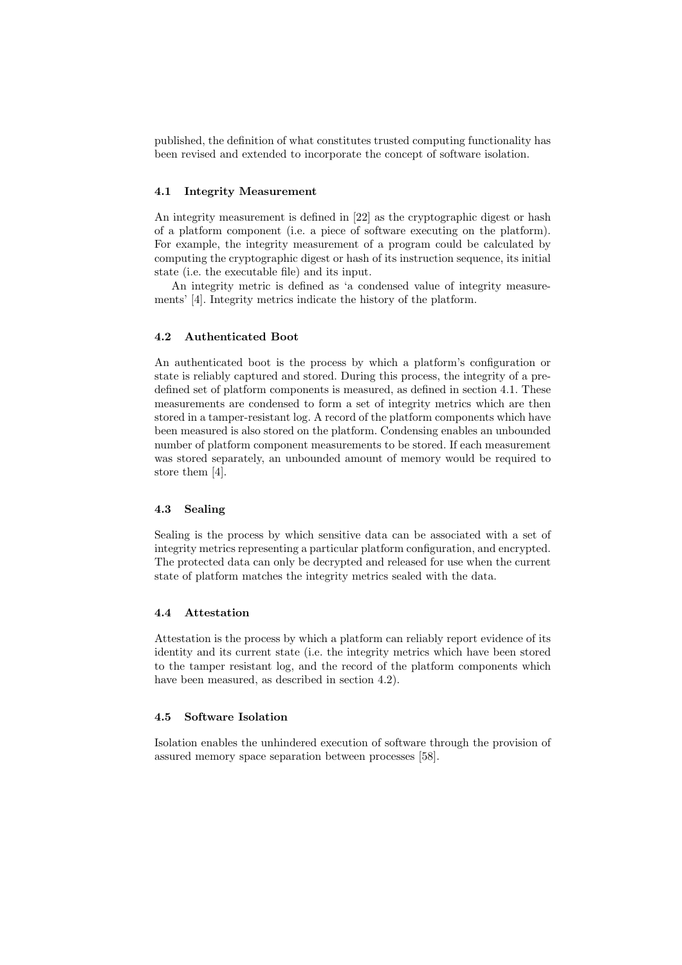published, the definition of what constitutes trusted computing functionality has been revised and extended to incorporate the concept of software isolation.

### 4.1 Integrity Measurement

An integrity measurement is defined in [22] as the cryptographic digest or hash of a platform component (i.e. a piece of software executing on the platform). For example, the integrity measurement of a program could be calculated by computing the cryptographic digest or hash of its instruction sequence, its initial state (i.e. the executable file) and its input.

An integrity metric is defined as 'a condensed value of integrity measurements' [4]. Integrity metrics indicate the history of the platform.

# 4.2 Authenticated Boot

An authenticated boot is the process by which a platform's configuration or state is reliably captured and stored. During this process, the integrity of a predefined set of platform components is measured, as defined in section 4.1. These measurements are condensed to form a set of integrity metrics which are then stored in a tamper-resistant log. A record of the platform components which have been measured is also stored on the platform. Condensing enables an unbounded number of platform component measurements to be stored. If each measurement was stored separately, an unbounded amount of memory would be required to store them [4].

# 4.3 Sealing

Sealing is the process by which sensitive data can be associated with a set of integrity metrics representing a particular platform configuration, and encrypted. The protected data can only be decrypted and released for use when the current state of platform matches the integrity metrics sealed with the data.

### 4.4 Attestation

Attestation is the process by which a platform can reliably report evidence of its identity and its current state (i.e. the integrity metrics which have been stored to the tamper resistant log, and the record of the platform components which have been measured, as described in section 4.2).

# 4.5 Software Isolation

Isolation enables the unhindered execution of software through the provision of assured memory space separation between processes [58].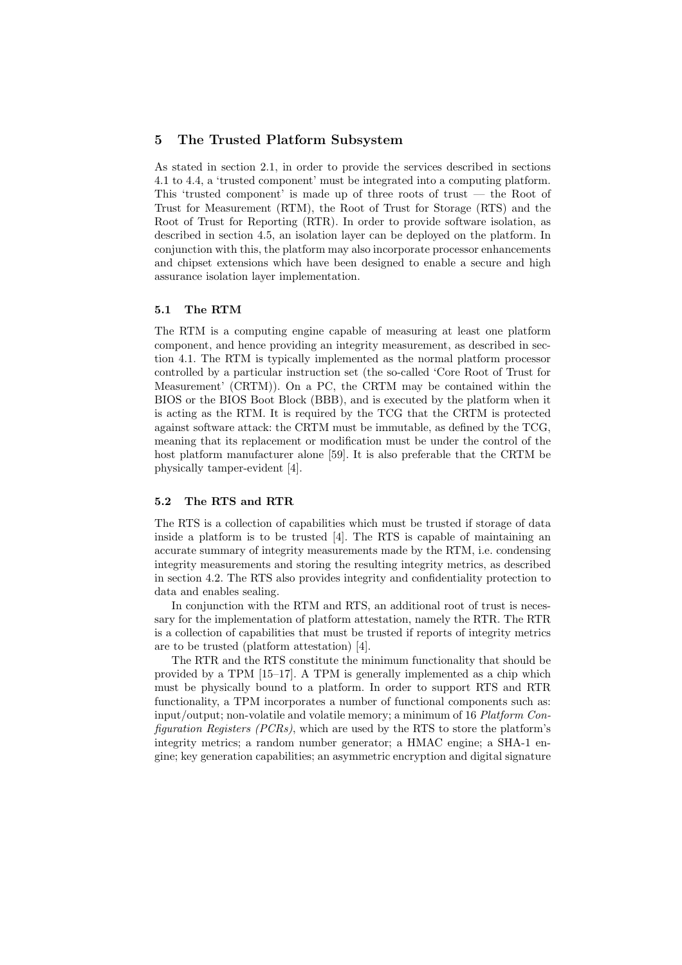# 5 The Trusted Platform Subsystem

As stated in section 2.1, in order to provide the services described in sections 4.1 to 4.4, a 'trusted component' must be integrated into a computing platform. This 'trusted component' is made up of three roots of trust — the Root of Trust for Measurement (RTM), the Root of Trust for Storage (RTS) and the Root of Trust for Reporting (RTR). In order to provide software isolation, as described in section 4.5, an isolation layer can be deployed on the platform. In conjunction with this, the platform may also incorporate processor enhancements and chipset extensions which have been designed to enable a secure and high assurance isolation layer implementation.

# 5.1 The RTM

The RTM is a computing engine capable of measuring at least one platform component, and hence providing an integrity measurement, as described in section 4.1. The RTM is typically implemented as the normal platform processor controlled by a particular instruction set (the so-called 'Core Root of Trust for Measurement' (CRTM)). On a PC, the CRTM may be contained within the BIOS or the BIOS Boot Block (BBB), and is executed by the platform when it is acting as the RTM. It is required by the TCG that the CRTM is protected against software attack: the CRTM must be immutable, as defined by the TCG, meaning that its replacement or modification must be under the control of the host platform manufacturer alone [59]. It is also preferable that the CRTM be physically tamper-evident [4].

### 5.2 The RTS and RTR

The RTS is a collection of capabilities which must be trusted if storage of data inside a platform is to be trusted [4]. The RTS is capable of maintaining an accurate summary of integrity measurements made by the RTM, i.e. condensing integrity measurements and storing the resulting integrity metrics, as described in section 4.2. The RTS also provides integrity and confidentiality protection to data and enables sealing.

In conjunction with the RTM and RTS, an additional root of trust is necessary for the implementation of platform attestation, namely the RTR. The RTR is a collection of capabilities that must be trusted if reports of integrity metrics are to be trusted (platform attestation) [4].

The RTR and the RTS constitute the minimum functionality that should be provided by a TPM [15–17]. A TPM is generally implemented as a chip which must be physically bound to a platform. In order to support RTS and RTR functionality, a TPM incorporates a number of functional components such as: input/output; non-volatile and volatile memory; a minimum of 16 Platform Configuration Registers (PCRs), which are used by the RTS to store the platform's integrity metrics; a random number generator; a HMAC engine; a SHA-1 engine; key generation capabilities; an asymmetric encryption and digital signature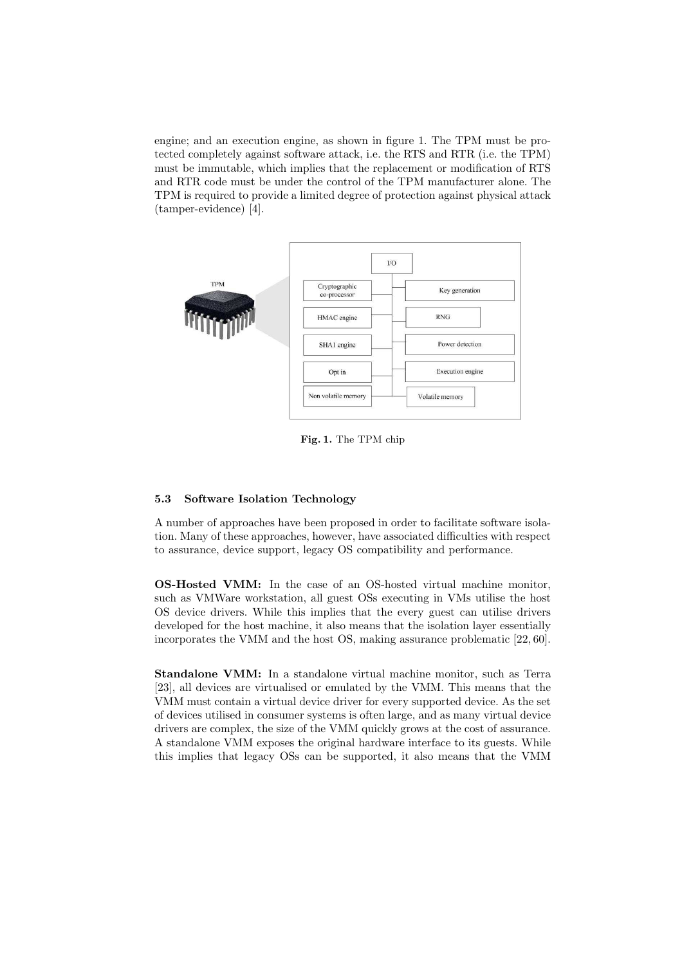engine; and an execution engine, as shown in figure 1. The TPM must be protected completely against software attack, i.e. the RTS and RTR (i.e. the TPM) must be immutable, which implies that the replacement or modification of RTS and RTR code must be under the control of the TPM manufacturer alone. The TPM is required to provide a limited degree of protection against physical attack (tamper-evidence) [4].



Fig. 1. The TPM chip

# 5.3 Software Isolation Technology

A number of approaches have been proposed in order to facilitate software isolation. Many of these approaches, however, have associated difficulties with respect to assurance, device support, legacy OS compatibility and performance.

OS-Hosted VMM: In the case of an OS-hosted virtual machine monitor, such as VMWare workstation, all guest OSs executing in VMs utilise the host OS device drivers. While this implies that the every guest can utilise drivers developed for the host machine, it also means that the isolation layer essentially incorporates the VMM and the host OS, making assurance problematic [22, 60].

Standalone VMM: In a standalone virtual machine monitor, such as Terra [23], all devices are virtualised or emulated by the VMM. This means that the VMM must contain a virtual device driver for every supported device. As the set of devices utilised in consumer systems is often large, and as many virtual device drivers are complex, the size of the VMM quickly grows at the cost of assurance. A standalone VMM exposes the original hardware interface to its guests. While this implies that legacy OSs can be supported, it also means that the VMM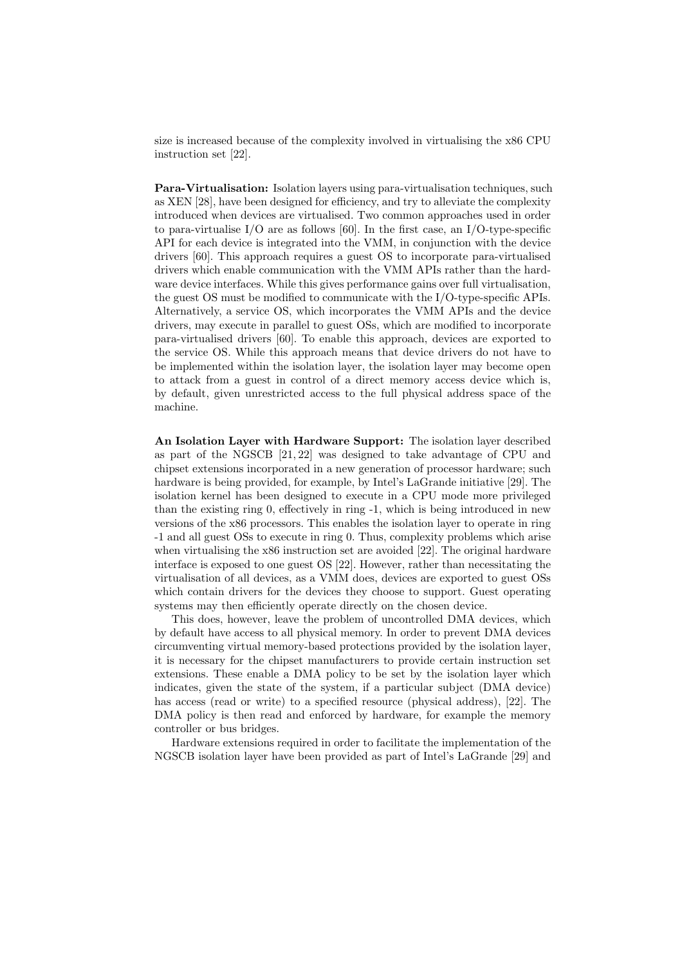size is increased because of the complexity involved in virtualising the x86 CPU instruction set [22].

Para-Virtualisation: Isolation layers using para-virtualisation techniques, such as XEN [28], have been designed for efficiency, and try to alleviate the complexity introduced when devices are virtualised. Two common approaches used in order to para-virtualise  $I/O$  are as follows [60]. In the first case, an  $I/O$ -type-specific API for each device is integrated into the VMM, in conjunction with the device drivers [60]. This approach requires a guest OS to incorporate para-virtualised drivers which enable communication with the VMM APIs rather than the hardware device interfaces. While this gives performance gains over full virtualisation, the guest OS must be modified to communicate with the I/O-type-specific APIs. Alternatively, a service OS, which incorporates the VMM APIs and the device drivers, may execute in parallel to guest OSs, which are modified to incorporate para-virtualised drivers [60]. To enable this approach, devices are exported to the service OS. While this approach means that device drivers do not have to be implemented within the isolation layer, the isolation layer may become open to attack from a guest in control of a direct memory access device which is, by default, given unrestricted access to the full physical address space of the machine.

An Isolation Layer with Hardware Support: The isolation layer described as part of the NGSCB [21, 22] was designed to take advantage of CPU and chipset extensions incorporated in a new generation of processor hardware; such hardware is being provided, for example, by Intel's LaGrande initiative [29]. The isolation kernel has been designed to execute in a CPU mode more privileged than the existing ring 0, effectively in ring -1, which is being introduced in new versions of the x86 processors. This enables the isolation layer to operate in ring -1 and all guest OSs to execute in ring 0. Thus, complexity problems which arise when virtualising the x86 instruction set are avoided [22]. The original hardware interface is exposed to one guest OS [22]. However, rather than necessitating the virtualisation of all devices, as a VMM does, devices are exported to guest OSs which contain drivers for the devices they choose to support. Guest operating systems may then efficiently operate directly on the chosen device.

This does, however, leave the problem of uncontrolled DMA devices, which by default have access to all physical memory. In order to prevent DMA devices circumventing virtual memory-based protections provided by the isolation layer, it is necessary for the chipset manufacturers to provide certain instruction set extensions. These enable a DMA policy to be set by the isolation layer which indicates, given the state of the system, if a particular subject (DMA device) has access (read or write) to a specified resource (physical address), [22]. The DMA policy is then read and enforced by hardware, for example the memory controller or bus bridges.

Hardware extensions required in order to facilitate the implementation of the NGSCB isolation layer have been provided as part of Intel's LaGrande [29] and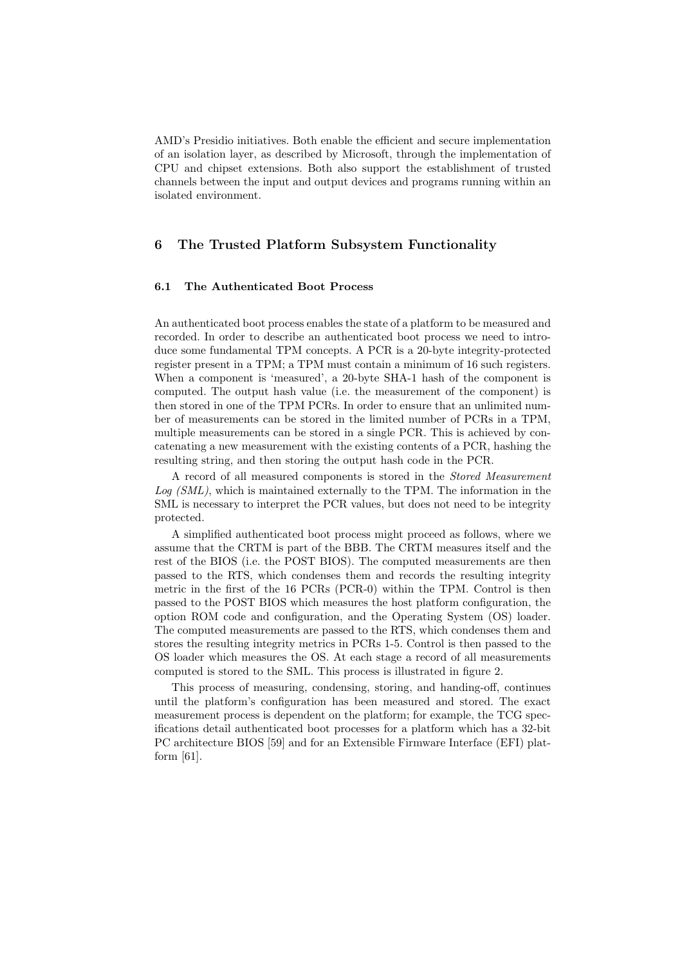AMD's Presidio initiatives. Both enable the efficient and secure implementation of an isolation layer, as described by Microsoft, through the implementation of CPU and chipset extensions. Both also support the establishment of trusted channels between the input and output devices and programs running within an isolated environment.

# 6 The Trusted Platform Subsystem Functionality

### 6.1 The Authenticated Boot Process

An authenticated boot process enables the state of a platform to be measured and recorded. In order to describe an authenticated boot process we need to introduce some fundamental TPM concepts. A PCR is a 20-byte integrity-protected register present in a TPM; a TPM must contain a minimum of 16 such registers. When a component is 'measured', a 20-byte SHA-1 hash of the component is computed. The output hash value (i.e. the measurement of the component) is then stored in one of the TPM PCRs. In order to ensure that an unlimited number of measurements can be stored in the limited number of PCRs in a TPM, multiple measurements can be stored in a single PCR. This is achieved by concatenating a new measurement with the existing contents of a PCR, hashing the resulting string, and then storing the output hash code in the PCR.

A record of all measured components is stored in the Stored Measurement Log (SML), which is maintained externally to the TPM. The information in the SML is necessary to interpret the PCR values, but does not need to be integrity protected.

A simplified authenticated boot process might proceed as follows, where we assume that the CRTM is part of the BBB. The CRTM measures itself and the rest of the BIOS (i.e. the POST BIOS). The computed measurements are then passed to the RTS, which condenses them and records the resulting integrity metric in the first of the 16 PCRs (PCR-0) within the TPM. Control is then passed to the POST BIOS which measures the host platform configuration, the option ROM code and configuration, and the Operating System (OS) loader. The computed measurements are passed to the RTS, which condenses them and stores the resulting integrity metrics in PCRs 1-5. Control is then passed to the OS loader which measures the OS. At each stage a record of all measurements computed is stored to the SML. This process is illustrated in figure 2.

This process of measuring, condensing, storing, and handing-off, continues until the platform's configuration has been measured and stored. The exact measurement process is dependent on the platform; for example, the TCG specifications detail authenticated boot processes for a platform which has a 32-bit PC architecture BIOS [59] and for an Extensible Firmware Interface (EFI) platform [61].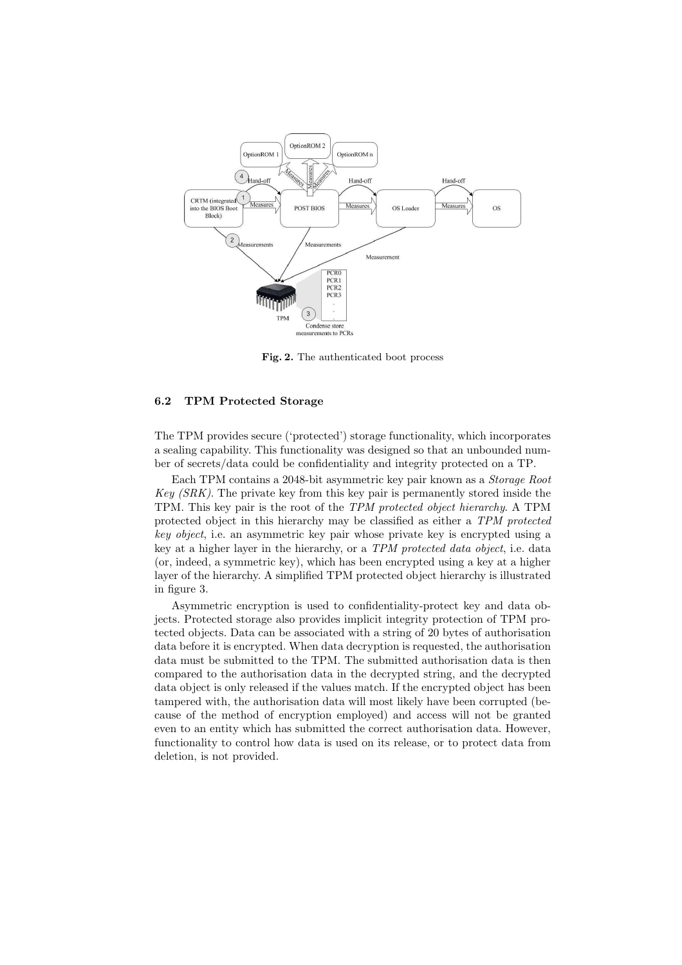

Fig. 2. The authenticated boot process

### 6.2 TPM Protected Storage

The TPM provides secure ('protected') storage functionality, which incorporates a sealing capability. This functionality was designed so that an unbounded number of secrets/data could be confidentiality and integrity protected on a TP.

Each TPM contains a 2048-bit asymmetric key pair known as a Storage Root  $Key (SRK)$ . The private key from this key pair is permanently stored inside the TPM. This key pair is the root of the TPM protected object hierarchy. A TPM protected object in this hierarchy may be classified as either a TPM protected key object, i.e. an asymmetric key pair whose private key is encrypted using a key at a higher layer in the hierarchy, or a TPM protected data object, i.e. data (or, indeed, a symmetric key), which has been encrypted using a key at a higher layer of the hierarchy. A simplified TPM protected object hierarchy is illustrated in figure 3.

Asymmetric encryption is used to confidentiality-protect key and data objects. Protected storage also provides implicit integrity protection of TPM protected objects. Data can be associated with a string of 20 bytes of authorisation data before it is encrypted. When data decryption is requested, the authorisation data must be submitted to the TPM. The submitted authorisation data is then compared to the authorisation data in the decrypted string, and the decrypted data object is only released if the values match. If the encrypted object has been tampered with, the authorisation data will most likely have been corrupted (because of the method of encryption employed) and access will not be granted even to an entity which has submitted the correct authorisation data. However, functionality to control how data is used on its release, or to protect data from deletion, is not provided.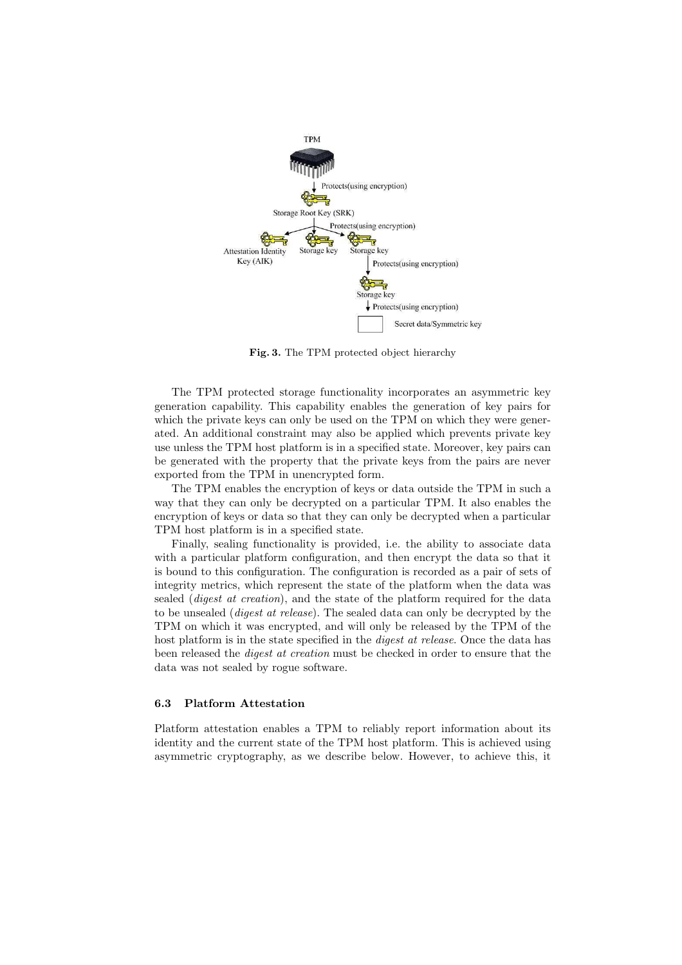

Fig. 3. The TPM protected object hierarchy

The TPM protected storage functionality incorporates an asymmetric key generation capability. This capability enables the generation of key pairs for which the private keys can only be used on the TPM on which they were generated. An additional constraint may also be applied which prevents private key use unless the TPM host platform is in a specified state. Moreover, key pairs can be generated with the property that the private keys from the pairs are never exported from the TPM in unencrypted form.

The TPM enables the encryption of keys or data outside the TPM in such a way that they can only be decrypted on a particular TPM. It also enables the encryption of keys or data so that they can only be decrypted when a particular TPM host platform is in a specified state.

Finally, sealing functionality is provided, i.e. the ability to associate data with a particular platform configuration, and then encrypt the data so that it is bound to this configuration. The configuration is recorded as a pair of sets of integrity metrics, which represent the state of the platform when the data was sealed *(digest at creation)*, and the state of the platform required for the data to be unsealed (digest at release). The sealed data can only be decrypted by the TPM on which it was encrypted, and will only be released by the TPM of the host platform is in the state specified in the *digest at release*. Once the data has been released the digest at creation must be checked in order to ensure that the data was not sealed by rogue software.

#### 6.3 Platform Attestation

Platform attestation enables a TPM to reliably report information about its identity and the current state of the TPM host platform. This is achieved using asymmetric cryptography, as we describe below. However, to achieve this, it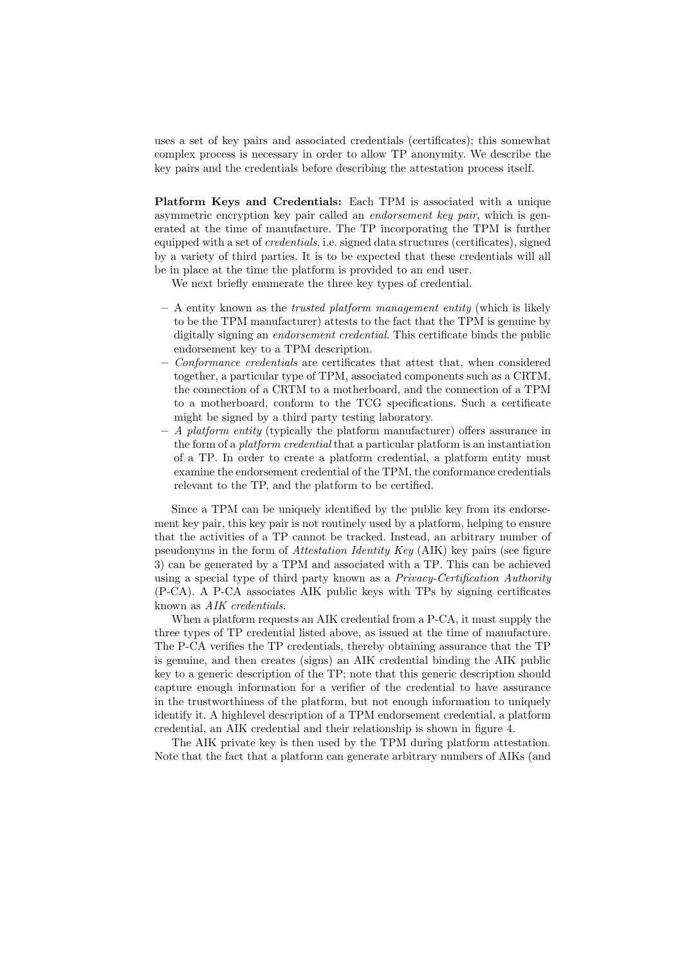uses a set of key pairs and associated credentials (certificates); this somewhat complex process is necessary in order to allow TP anonymity. We describe the key pairs and the credentials before describing the attestation process itself.

Platform Keys and Credentials: Each TPM is associated with a unique asymmetric encryption key pair called an endorsement key pair, which is generated at the time of manufacture. The TP incorporating the TPM is further equipped with a set of *credentials*, i.e. signed data structures (certificates), signed by a variety of third parties. It is to be expected that these credentials will all be in place at the time the platform is provided to an end user.

We next briefly enumerate the three key types of credential.

- $-$  A entity known as the *trusted platform management entity* (which is likely to be the TPM manufacturer) attests to the fact that the TPM is genuine by digitally signing an endorsement credential. This certificate binds the public endorsement key to a TPM description.
- Conformance credentials are certificates that attest that, when considered together, a particular type of TPM, associated components such as a CRTM, the connection of a CRTM to a motherboard, and the connection of a TPM to a motherboard, conform to the TCG specifications. Such a certificate might be signed by a third party testing laboratory.
- $A$  platform entity (typically the platform manufacturer) offers assurance in the form of a platform credential that a particular platform is an instantiation of a TP. In order to create a platform credential, a platform entity must examine the endorsement credential of the TPM, the conformance credentials relevant to the TP, and the platform to be certified.

Since a TPM can be uniquely identified by the public key from its endorsement key pair, this key pair is not routinely used by a platform, helping to ensure that the activities of a TP cannot be tracked. Instead, an arbitrary number of pseudonyms in the form of Attestation Identity Key (AIK) key pairs (see figure 3) can be generated by a TPM and associated with a TP. This can be achieved using a special type of third party known as a Privacy-Certification Authority (P-CA). A P-CA associates AIK public keys with TPs by signing certificates known as AIK credentials.

When a platform requests an AIK credential from a P-CA, it must supply the three types of TP credential listed above, as issued at the time of manufacture. The P-CA verifies the TP credentials, thereby obtaining assurance that the TP is genuine, and then creates (signs) an AIK credential binding the AIK public key to a generic description of the TP; note that this generic description should capture enough information for a verifier of the credential to have assurance in the trustworthiness of the platform, but not enough information to uniquely identify it. A highlevel description of a TPM endorsement credential, a platform credential, an AIK credential and their relationship is shown in figure 4.

The AIK private key is then used by the TPM during platform attestation. Note that the fact that a platform can generate arbitrary numbers of AIKs (and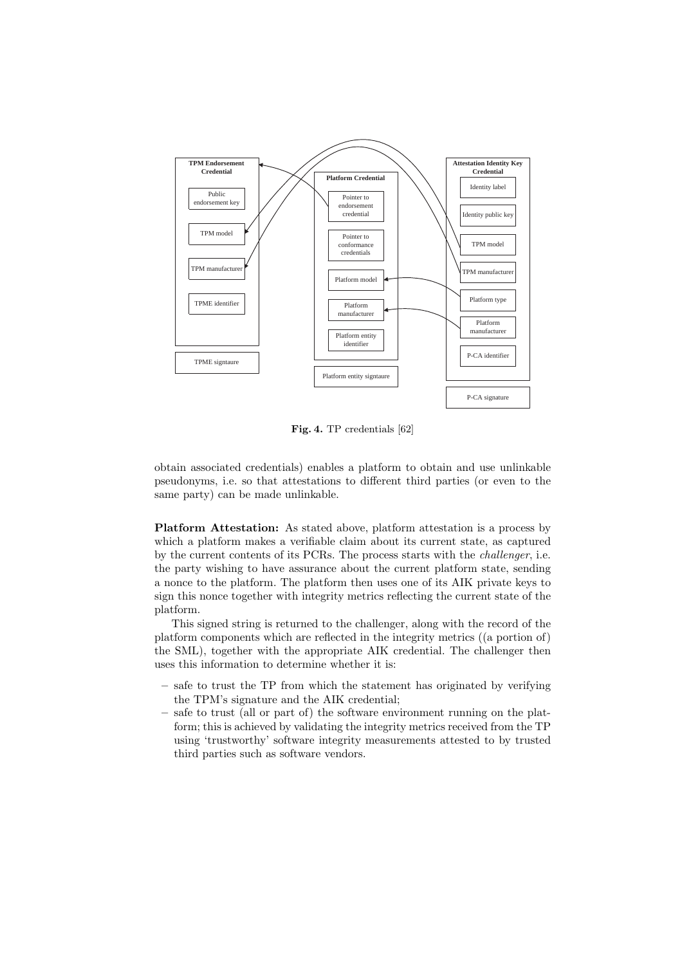

Fig. 4. TP credentials [62]

obtain associated credentials) enables a platform to obtain and use unlinkable pseudonyms, i.e. so that attestations to different third parties (or even to the same party) can be made unlinkable.

Platform Attestation: As stated above, platform attestation is a process by which a platform makes a verifiable claim about its current state, as captured by the current contents of its PCRs. The process starts with the challenger, i.e. the party wishing to have assurance about the current platform state, sending a nonce to the platform. The platform then uses one of its AIK private keys to sign this nonce together with integrity metrics reflecting the current state of the platform.

This signed string is returned to the challenger, along with the record of the platform components which are reflected in the integrity metrics ((a portion of) the SML), together with the appropriate AIK credential. The challenger then uses this information to determine whether it is:

- safe to trust the TP from which the statement has originated by verifying the TPM's signature and the AIK credential;
- safe to trust (all or part of) the software environment running on the platform; this is achieved by validating the integrity metrics received from the TP using 'trustworthy' software integrity measurements attested to by trusted third parties such as software vendors.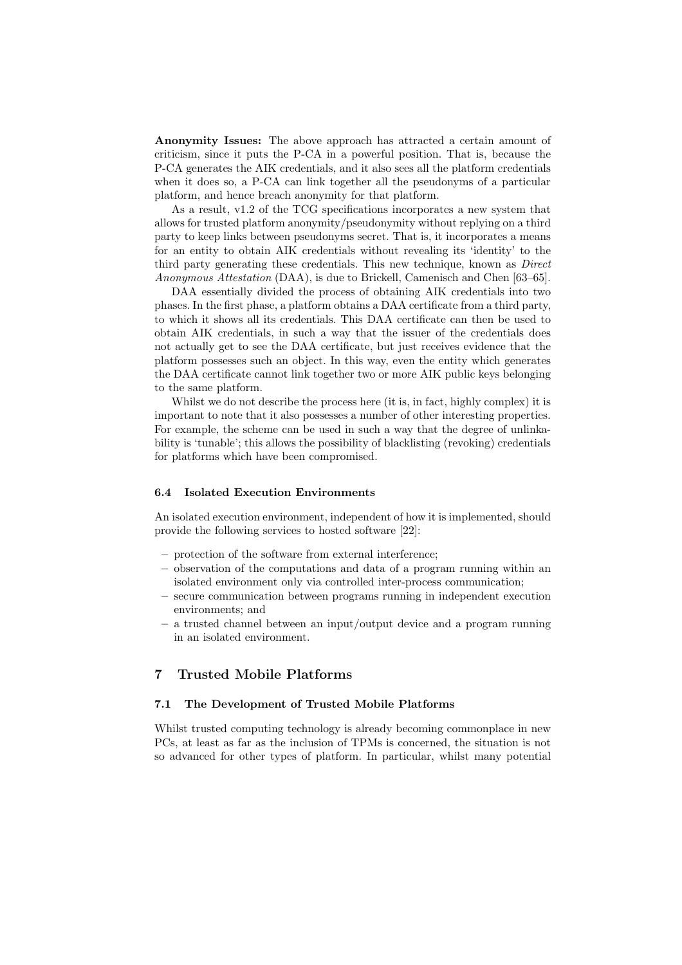Anonymity Issues: The above approach has attracted a certain amount of criticism, since it puts the P-CA in a powerful position. That is, because the P-CA generates the AIK credentials, and it also sees all the platform credentials when it does so, a P-CA can link together all the pseudonyms of a particular platform, and hence breach anonymity for that platform.

As a result, v1.2 of the TCG specifications incorporates a new system that allows for trusted platform anonymity/pseudonymity without replying on a third party to keep links between pseudonyms secret. That is, it incorporates a means for an entity to obtain AIK credentials without revealing its 'identity' to the third party generating these credentials. This new technique, known as Direct Anonymous Attestation (DAA), is due to Brickell, Camenisch and Chen [63–65].

DAA essentially divided the process of obtaining AIK credentials into two phases. In the first phase, a platform obtains a DAA certificate from a third party, to which it shows all its credentials. This DAA certificate can then be used to obtain AIK credentials, in such a way that the issuer of the credentials does not actually get to see the DAA certificate, but just receives evidence that the platform possesses such an object. In this way, even the entity which generates the DAA certificate cannot link together two or more AIK public keys belonging to the same platform.

Whilst we do not describe the process here (it is, in fact, highly complex) it is important to note that it also possesses a number of other interesting properties. For example, the scheme can be used in such a way that the degree of unlinkability is 'tunable'; this allows the possibility of blacklisting (revoking) credentials for platforms which have been compromised.

### 6.4 Isolated Execution Environments

An isolated execution environment, independent of how it is implemented, should provide the following services to hosted software [22]:

- protection of the software from external interference;
- observation of the computations and data of a program running within an isolated environment only via controlled inter-process communication;
- secure communication between programs running in independent execution environments; and
- $-$  a trusted channel between an input/output device and a program running in an isolated environment.

# 7 Trusted Mobile Platforms

# 7.1 The Development of Trusted Mobile Platforms

Whilst trusted computing technology is already becoming commonplace in new PCs, at least as far as the inclusion of TPMs is concerned, the situation is not so advanced for other types of platform. In particular, whilst many potential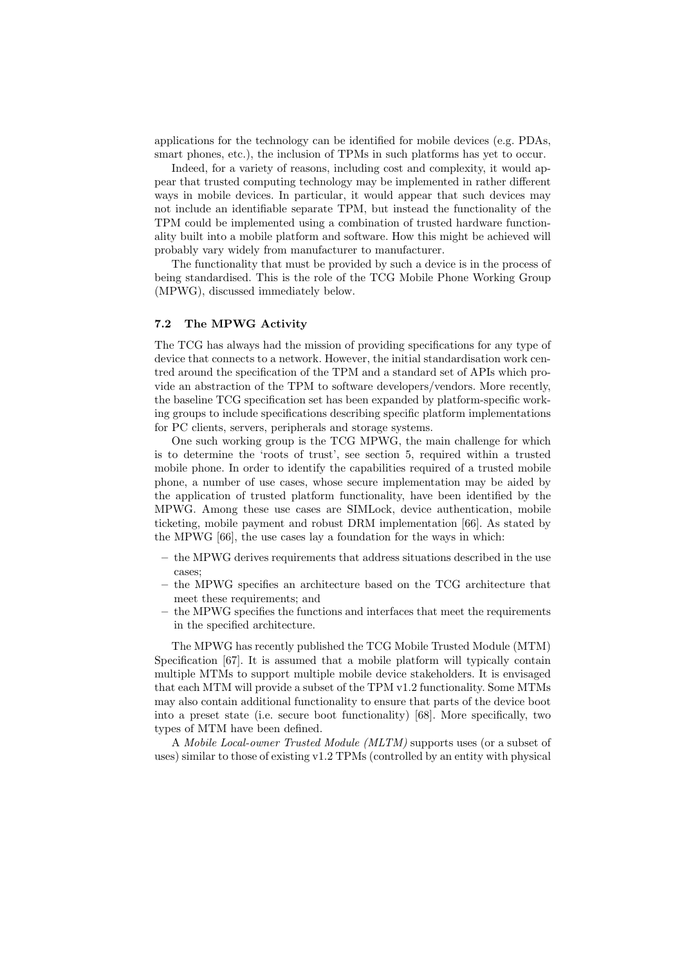applications for the technology can be identified for mobile devices (e.g. PDAs, smart phones, etc.), the inclusion of TPMs in such platforms has yet to occur.

Indeed, for a variety of reasons, including cost and complexity, it would appear that trusted computing technology may be implemented in rather different ways in mobile devices. In particular, it would appear that such devices may not include an identifiable separate TPM, but instead the functionality of the TPM could be implemented using a combination of trusted hardware functionality built into a mobile platform and software. How this might be achieved will probably vary widely from manufacturer to manufacturer.

The functionality that must be provided by such a device is in the process of being standardised. This is the role of the TCG Mobile Phone Working Group (MPWG), discussed immediately below.

### 7.2 The MPWG Activity

The TCG has always had the mission of providing specifications for any type of device that connects to a network. However, the initial standardisation work centred around the specification of the TPM and a standard set of APIs which provide an abstraction of the TPM to software developers/vendors. More recently, the baseline TCG specification set has been expanded by platform-specific working groups to include specifications describing specific platform implementations for PC clients, servers, peripherals and storage systems.

One such working group is the TCG MPWG, the main challenge for which is to determine the 'roots of trust', see section 5, required within a trusted mobile phone. In order to identify the capabilities required of a trusted mobile phone, a number of use cases, whose secure implementation may be aided by the application of trusted platform functionality, have been identified by the MPWG. Among these use cases are SIMLock, device authentication, mobile ticketing, mobile payment and robust DRM implementation [66]. As stated by the MPWG [66], the use cases lay a foundation for the ways in which:

- the MPWG derives requirements that address situations described in the use cases;
- the MPWG specifies an architecture based on the TCG architecture that meet these requirements; and
- the MPWG specifies the functions and interfaces that meet the requirements in the specified architecture.

The MPWG has recently published the TCG Mobile Trusted Module (MTM) Specification [67]. It is assumed that a mobile platform will typically contain multiple MTMs to support multiple mobile device stakeholders. It is envisaged that each MTM will provide a subset of the TPM v1.2 functionality. Some MTMs may also contain additional functionality to ensure that parts of the device boot into a preset state (i.e. secure boot functionality) [68]. More specifically, two types of MTM have been defined.

A Mobile Local-owner Trusted Module (MLTM) supports uses (or a subset of uses) similar to those of existing v1.2 TPMs (controlled by an entity with physical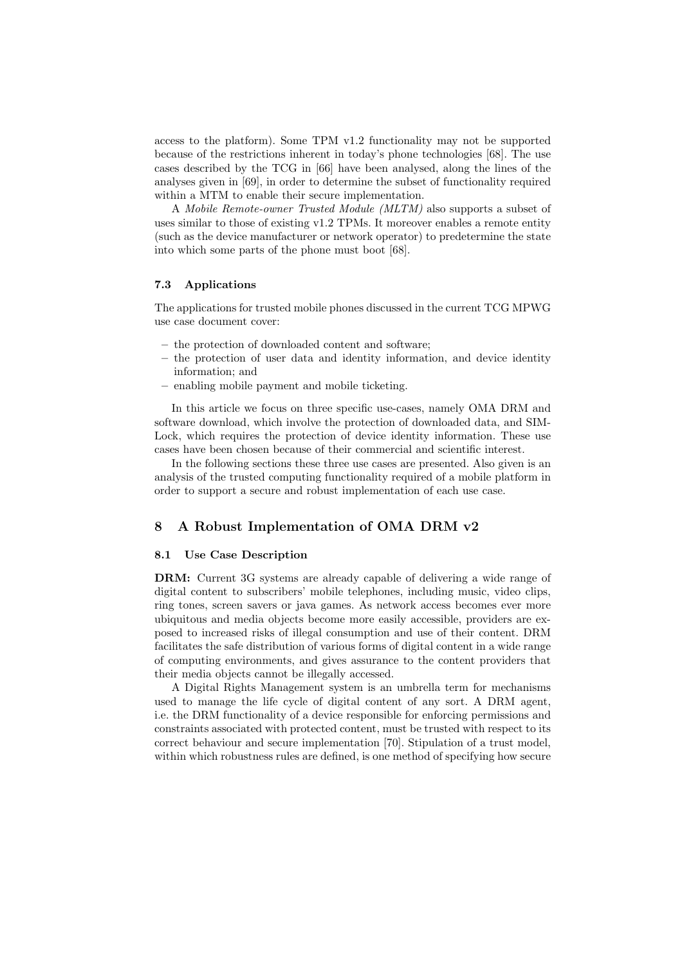access to the platform). Some TPM v1.2 functionality may not be supported because of the restrictions inherent in today's phone technologies [68]. The use cases described by the TCG in [66] have been analysed, along the lines of the analyses given in [69], in order to determine the subset of functionality required within a MTM to enable their secure implementation.

A Mobile Remote-owner Trusted Module (MLTM) also supports a subset of uses similar to those of existing v1.2 TPMs. It moreover enables a remote entity (such as the device manufacturer or network operator) to predetermine the state into which some parts of the phone must boot [68].

# 7.3 Applications

The applications for trusted mobile phones discussed in the current TCG MPWG use case document cover:

- the protection of downloaded content and software;
- the protection of user data and identity information, and device identity information; and
- enabling mobile payment and mobile ticketing.

In this article we focus on three specific use-cases, namely OMA DRM and software download, which involve the protection of downloaded data, and SIM-Lock, which requires the protection of device identity information. These use cases have been chosen because of their commercial and scientific interest.

In the following sections these three use cases are presented. Also given is an analysis of the trusted computing functionality required of a mobile platform in order to support a secure and robust implementation of each use case.

# 8 A Robust Implementation of OMA DRM v2

#### 8.1 Use Case Description

DRM: Current 3G systems are already capable of delivering a wide range of digital content to subscribers' mobile telephones, including music, video clips, ring tones, screen savers or java games. As network access becomes ever more ubiquitous and media objects become more easily accessible, providers are exposed to increased risks of illegal consumption and use of their content. DRM facilitates the safe distribution of various forms of digital content in a wide range of computing environments, and gives assurance to the content providers that their media objects cannot be illegally accessed.

A Digital Rights Management system is an umbrella term for mechanisms used to manage the life cycle of digital content of any sort. A DRM agent, i.e. the DRM functionality of a device responsible for enforcing permissions and constraints associated with protected content, must be trusted with respect to its correct behaviour and secure implementation [70]. Stipulation of a trust model, within which robustness rules are defined, is one method of specifying how secure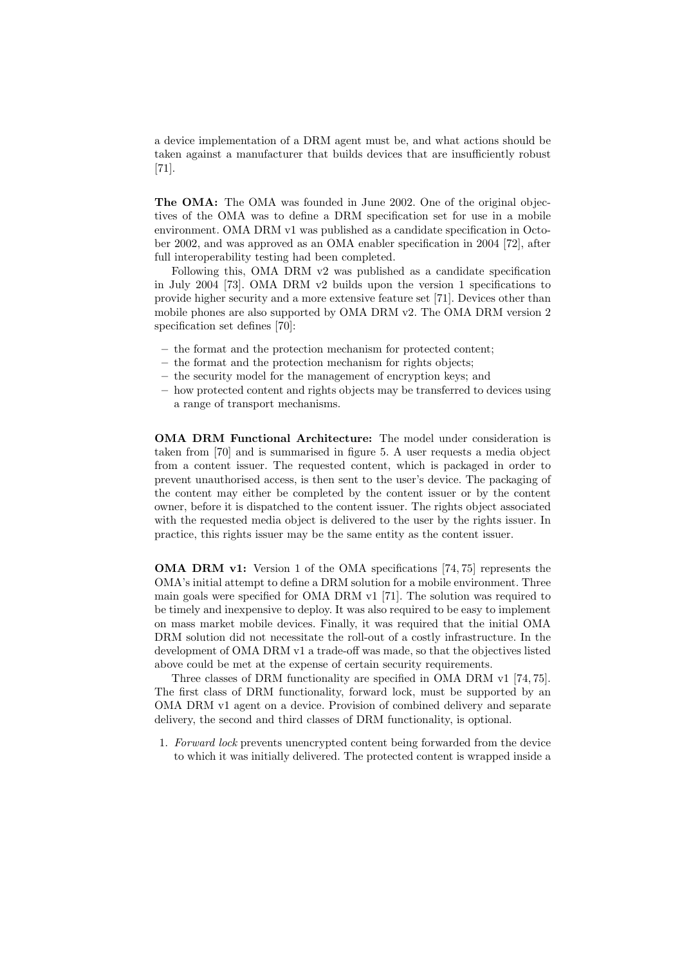a device implementation of a DRM agent must be, and what actions should be taken against a manufacturer that builds devices that are insufficiently robust [71].

The OMA: The OMA was founded in June 2002. One of the original objectives of the OMA was to define a DRM specification set for use in a mobile environment. OMA DRM v1 was published as a candidate specification in October 2002, and was approved as an OMA enabler specification in 2004 [72], after full interoperability testing had been completed.

Following this, OMA DRM v2 was published as a candidate specification in July 2004 [73]. OMA DRM v2 builds upon the version 1 specifications to provide higher security and a more extensive feature set [71]. Devices other than mobile phones are also supported by OMA DRM v2. The OMA DRM version 2 specification set defines [70]:

- the format and the protection mechanism for protected content;
- the format and the protection mechanism for rights objects;
- the security model for the management of encryption keys; and
- how protected content and rights objects may be transferred to devices using a range of transport mechanisms.

OMA DRM Functional Architecture: The model under consideration is taken from [70] and is summarised in figure 5. A user requests a media object from a content issuer. The requested content, which is packaged in order to prevent unauthorised access, is then sent to the user's device. The packaging of the content may either be completed by the content issuer or by the content owner, before it is dispatched to the content issuer. The rights object associated with the requested media object is delivered to the user by the rights issuer. In practice, this rights issuer may be the same entity as the content issuer.

OMA DRM v1: Version 1 of the OMA specifications [74, 75] represents the OMA's initial attempt to define a DRM solution for a mobile environment. Three main goals were specified for OMA DRM v1 [71]. The solution was required to be timely and inexpensive to deploy. It was also required to be easy to implement on mass market mobile devices. Finally, it was required that the initial OMA DRM solution did not necessitate the roll-out of a costly infrastructure. In the development of OMA DRM v1 a trade-off was made, so that the objectives listed above could be met at the expense of certain security requirements.

Three classes of DRM functionality are specified in OMA DRM v1 [74, 75]. The first class of DRM functionality, forward lock, must be supported by an OMA DRM v1 agent on a device. Provision of combined delivery and separate delivery, the second and third classes of DRM functionality, is optional.

1. Forward lock prevents unencrypted content being forwarded from the device to which it was initially delivered. The protected content is wrapped inside a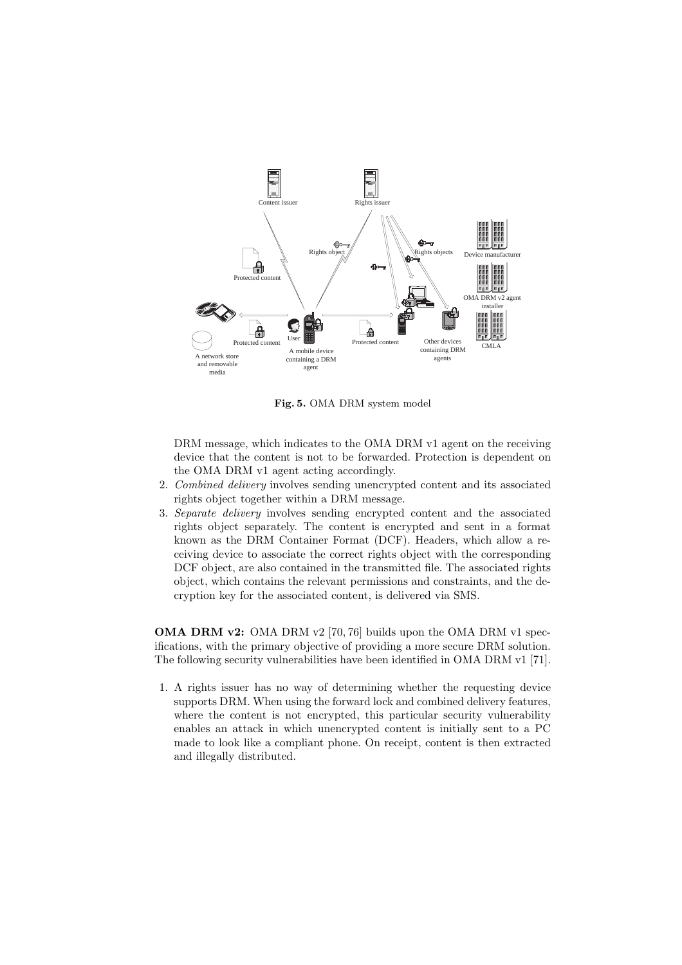

Fig. 5. OMA DRM system model

DRM message, which indicates to the OMA DRM v1 agent on the receiving device that the content is not to be forwarded. Protection is dependent on the OMA DRM v1 agent acting accordingly.

- 2. Combined delivery involves sending unencrypted content and its associated rights object together within a DRM message.
- 3. Separate delivery involves sending encrypted content and the associated rights object separately. The content is encrypted and sent in a format known as the DRM Container Format (DCF). Headers, which allow a receiving device to associate the correct rights object with the corresponding DCF object, are also contained in the transmitted file. The associated rights object, which contains the relevant permissions and constraints, and the decryption key for the associated content, is delivered via SMS.

OMA DRM v2: OMA DRM v2 [70, 76] builds upon the OMA DRM v1 specifications, with the primary objective of providing a more secure DRM solution. The following security vulnerabilities have been identified in OMA DRM v1 [71].

1. A rights issuer has no way of determining whether the requesting device supports DRM. When using the forward lock and combined delivery features, where the content is not encrypted, this particular security vulnerability enables an attack in which unencrypted content is initially sent to a PC made to look like a compliant phone. On receipt, content is then extracted and illegally distributed.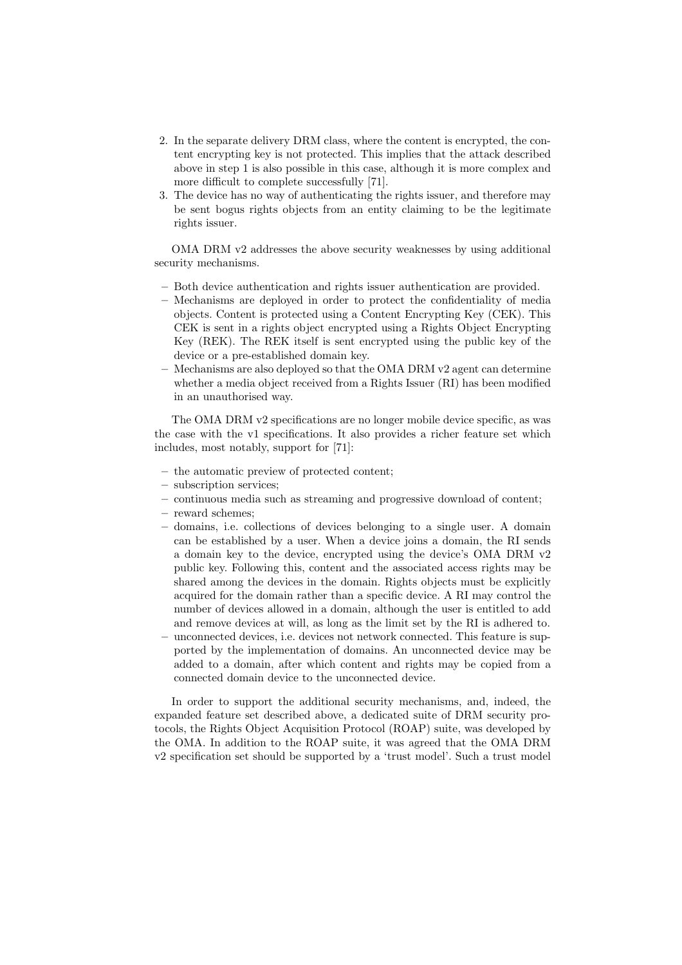- 2. In the separate delivery DRM class, where the content is encrypted, the content encrypting key is not protected. This implies that the attack described above in step 1 is also possible in this case, although it is more complex and more difficult to complete successfully [71].
- 3. The device has no way of authenticating the rights issuer, and therefore may be sent bogus rights objects from an entity claiming to be the legitimate rights issuer.

OMA DRM v2 addresses the above security weaknesses by using additional security mechanisms.

- Both device authentication and rights issuer authentication are provided.
- Mechanisms are deployed in order to protect the confidentiality of media objects. Content is protected using a Content Encrypting Key (CEK). This CEK is sent in a rights object encrypted using a Rights Object Encrypting Key (REK). The REK itself is sent encrypted using the public key of the device or a pre-established domain key.
- Mechanisms are also deployed so that the OMA DRM v2 agent can determine whether a media object received from a Rights Issuer (RI) has been modified in an unauthorised way.

The OMA DRM v2 specifications are no longer mobile device specific, as was the case with the v1 specifications. It also provides a richer feature set which includes, most notably, support for [71]:

- the automatic preview of protected content;
- subscription services;
- continuous media such as streaming and progressive download of content;
- reward schemes;
- domains, i.e. collections of devices belonging to a single user. A domain can be established by a user. When a device joins a domain, the RI sends a domain key to the device, encrypted using the device's OMA DRM v2 public key. Following this, content and the associated access rights may be shared among the devices in the domain. Rights objects must be explicitly acquired for the domain rather than a specific device. A RI may control the number of devices allowed in a domain, although the user is entitled to add and remove devices at will, as long as the limit set by the RI is adhered to.
- unconnected devices, i.e. devices not network connected. This feature is supported by the implementation of domains. An unconnected device may be added to a domain, after which content and rights may be copied from a connected domain device to the unconnected device.

In order to support the additional security mechanisms, and, indeed, the expanded feature set described above, a dedicated suite of DRM security protocols, the Rights Object Acquisition Protocol (ROAP) suite, was developed by the OMA. In addition to the ROAP suite, it was agreed that the OMA DRM v2 specification set should be supported by a 'trust model'. Such a trust model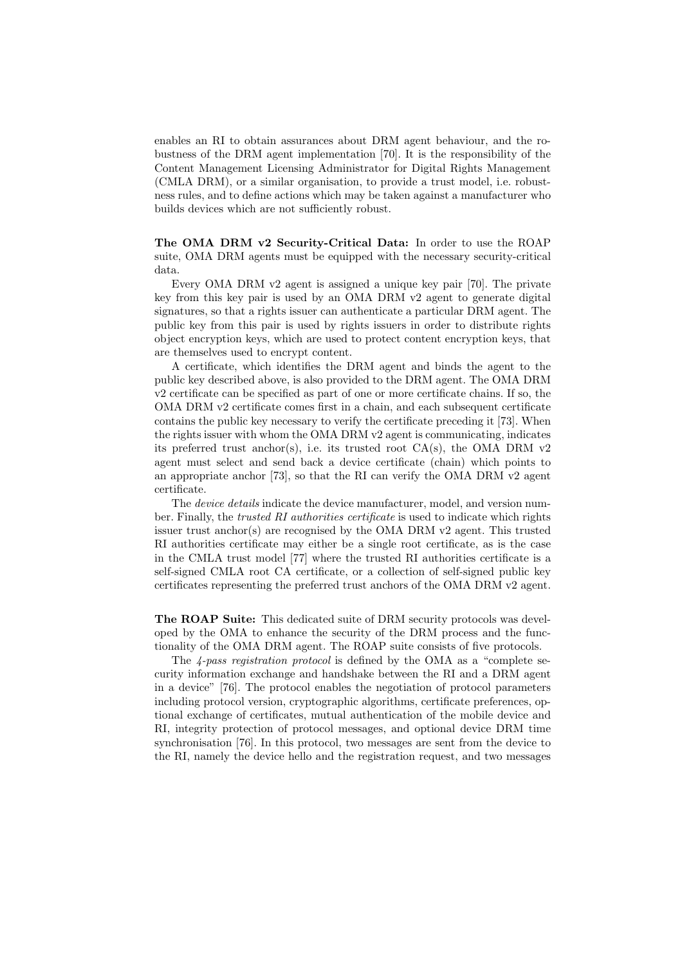enables an RI to obtain assurances about DRM agent behaviour, and the robustness of the DRM agent implementation [70]. It is the responsibility of the Content Management Licensing Administrator for Digital Rights Management (CMLA DRM), or a similar organisation, to provide a trust model, i.e. robustness rules, and to define actions which may be taken against a manufacturer who builds devices which are not sufficiently robust.

The OMA DRM v2 Security-Critical Data: In order to use the ROAP suite, OMA DRM agents must be equipped with the necessary security-critical data.

Every OMA DRM v2 agent is assigned a unique key pair [70]. The private key from this key pair is used by an OMA DRM v2 agent to generate digital signatures, so that a rights issuer can authenticate a particular DRM agent. The public key from this pair is used by rights issuers in order to distribute rights object encryption keys, which are used to protect content encryption keys, that are themselves used to encrypt content.

A certificate, which identifies the DRM agent and binds the agent to the public key described above, is also provided to the DRM agent. The OMA DRM v2 certificate can be specified as part of one or more certificate chains. If so, the OMA DRM v2 certificate comes first in a chain, and each subsequent certificate contains the public key necessary to verify the certificate preceding it [73]. When the rights issuer with whom the OMA DRM v2 agent is communicating, indicates its preferred trust anchor(s), i.e. its trusted root  $CA(s)$ , the OMA DRM v2 agent must select and send back a device certificate (chain) which points to an appropriate anchor [73], so that the RI can verify the OMA DRM v2 agent certificate.

The device details indicate the device manufacturer, model, and version number. Finally, the *trusted RI authorities certificate* is used to indicate which rights issuer trust anchor(s) are recognised by the OMA DRM v2 agent. This trusted RI authorities certificate may either be a single root certificate, as is the case in the CMLA trust model [77] where the trusted RI authorities certificate is a self-signed CMLA root CA certificate, or a collection of self-signed public key certificates representing the preferred trust anchors of the OMA DRM v2 agent.

The ROAP Suite: This dedicated suite of DRM security protocols was developed by the OMA to enhance the security of the DRM process and the functionality of the OMA DRM agent. The ROAP suite consists of five protocols.

The 4-pass registration protocol is defined by the OMA as a "complete security information exchange and handshake between the RI and a DRM agent in a device" [76]. The protocol enables the negotiation of protocol parameters including protocol version, cryptographic algorithms, certificate preferences, optional exchange of certificates, mutual authentication of the mobile device and RI, integrity protection of protocol messages, and optional device DRM time synchronisation [76]. In this protocol, two messages are sent from the device to the RI, namely the device hello and the registration request, and two messages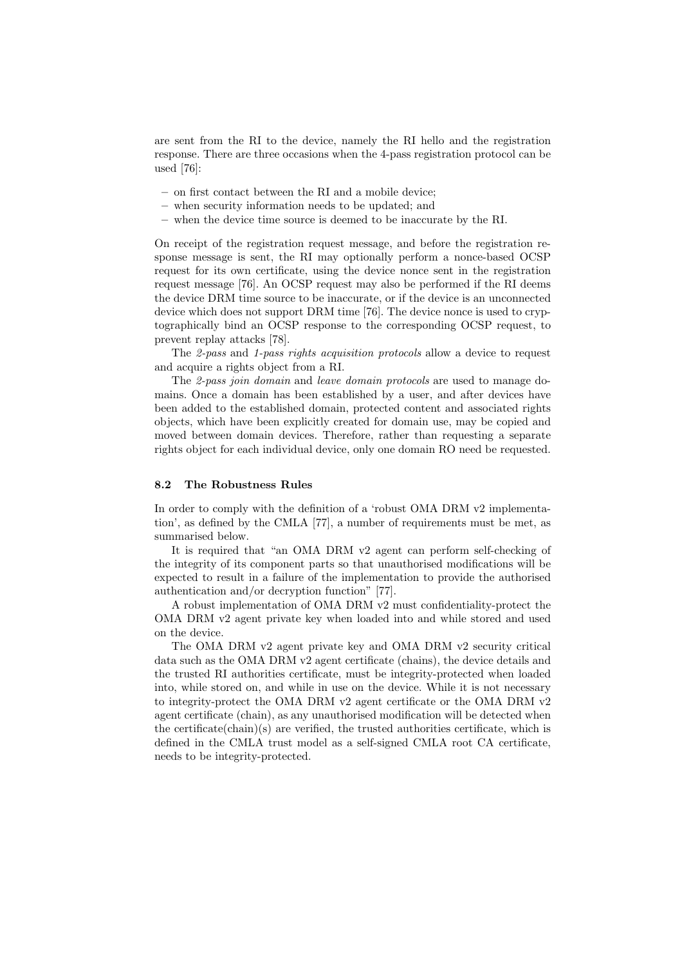are sent from the RI to the device, namely the RI hello and the registration response. There are three occasions when the 4-pass registration protocol can be used [76]:

- on first contact between the RI and a mobile device;
- when security information needs to be updated; and
- when the device time source is deemed to be inaccurate by the RI.

On receipt of the registration request message, and before the registration response message is sent, the RI may optionally perform a nonce-based OCSP request for its own certificate, using the device nonce sent in the registration request message [76]. An OCSP request may also be performed if the RI deems the device DRM time source to be inaccurate, or if the device is an unconnected device which does not support DRM time [76]. The device nonce is used to cryptographically bind an OCSP response to the corresponding OCSP request, to prevent replay attacks [78].

The 2-pass and 1-pass rights acquisition protocols allow a device to request and acquire a rights object from a RI.

The 2-pass join domain and leave domain protocols are used to manage domains. Once a domain has been established by a user, and after devices have been added to the established domain, protected content and associated rights objects, which have been explicitly created for domain use, may be copied and moved between domain devices. Therefore, rather than requesting a separate rights object for each individual device, only one domain RO need be requested.

### 8.2 The Robustness Rules

In order to comply with the definition of a 'robust OMA DRM v2 implementation', as defined by the CMLA [77], a number of requirements must be met, as summarised below.

It is required that "an OMA DRM v2 agent can perform self-checking of the integrity of its component parts so that unauthorised modifications will be expected to result in a failure of the implementation to provide the authorised authentication and/or decryption function" [77].

A robust implementation of OMA DRM v2 must confidentiality-protect the OMA DRM v2 agent private key when loaded into and while stored and used on the device.

The OMA DRM v2 agent private key and OMA DRM v2 security critical data such as the OMA DRM v2 agent certificate (chains), the device details and the trusted RI authorities certificate, must be integrity-protected when loaded into, while stored on, and while in use on the device. While it is not necessary to integrity-protect the OMA DRM v2 agent certificate or the OMA DRM v2 agent certificate (chain), as any unauthorised modification will be detected when the certificate(chain)(s) are verified, the trusted authorities certificate, which is defined in the CMLA trust model as a self-signed CMLA root CA certificate, needs to be integrity-protected.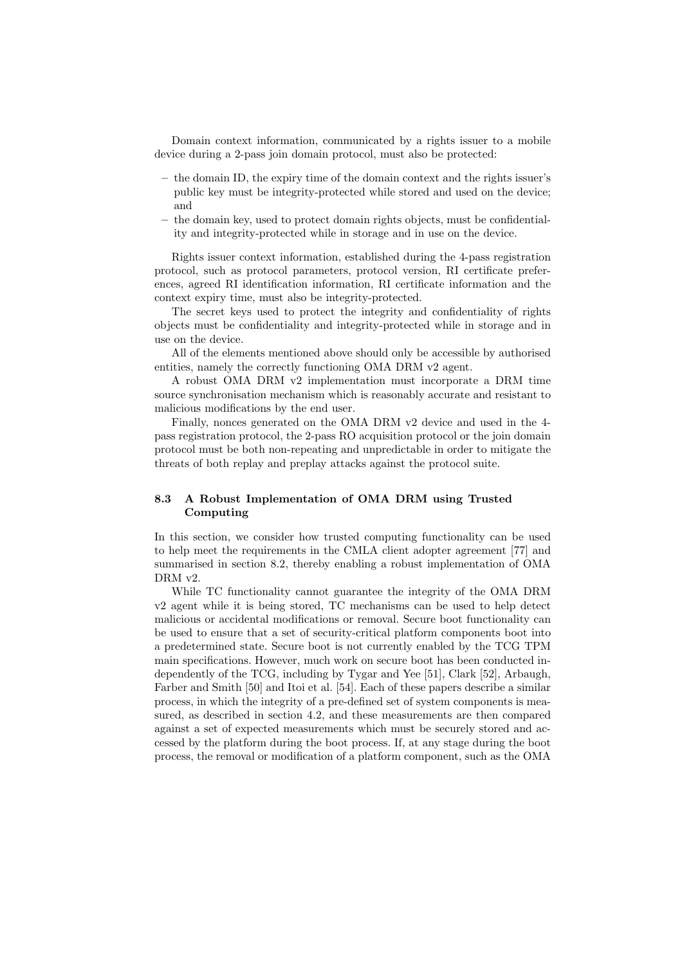Domain context information, communicated by a rights issuer to a mobile device during a 2-pass join domain protocol, must also be protected:

- the domain ID, the expiry time of the domain context and the rights issuer's public key must be integrity-protected while stored and used on the device; and
- the domain key, used to protect domain rights objects, must be confidentiality and integrity-protected while in storage and in use on the device.

Rights issuer context information, established during the 4-pass registration protocol, such as protocol parameters, protocol version, RI certificate preferences, agreed RI identification information, RI certificate information and the context expiry time, must also be integrity-protected.

The secret keys used to protect the integrity and confidentiality of rights objects must be confidentiality and integrity-protected while in storage and in use on the device.

All of the elements mentioned above should only be accessible by authorised entities, namely the correctly functioning OMA DRM v2 agent.

A robust OMA DRM v2 implementation must incorporate a DRM time source synchronisation mechanism which is reasonably accurate and resistant to malicious modifications by the end user.

Finally, nonces generated on the OMA DRM v2 device and used in the 4 pass registration protocol, the 2-pass RO acquisition protocol or the join domain protocol must be both non-repeating and unpredictable in order to mitigate the threats of both replay and preplay attacks against the protocol suite.

# 8.3 A Robust Implementation of OMA DRM using Trusted Computing

In this section, we consider how trusted computing functionality can be used to help meet the requirements in the CMLA client adopter agreement [77] and summarised in section 8.2, thereby enabling a robust implementation of OMA DRM v2.

While TC functionality cannot guarantee the integrity of the OMA DRM v2 agent while it is being stored, TC mechanisms can be used to help detect malicious or accidental modifications or removal. Secure boot functionality can be used to ensure that a set of security-critical platform components boot into a predetermined state. Secure boot is not currently enabled by the TCG TPM main specifications. However, much work on secure boot has been conducted independently of the TCG, including by Tygar and Yee [51], Clark [52], Arbaugh, Farber and Smith [50] and Itoi et al. [54]. Each of these papers describe a similar process, in which the integrity of a pre-defined set of system components is measured, as described in section 4.2, and these measurements are then compared against a set of expected measurements which must be securely stored and accessed by the platform during the boot process. If, at any stage during the boot process, the removal or modification of a platform component, such as the OMA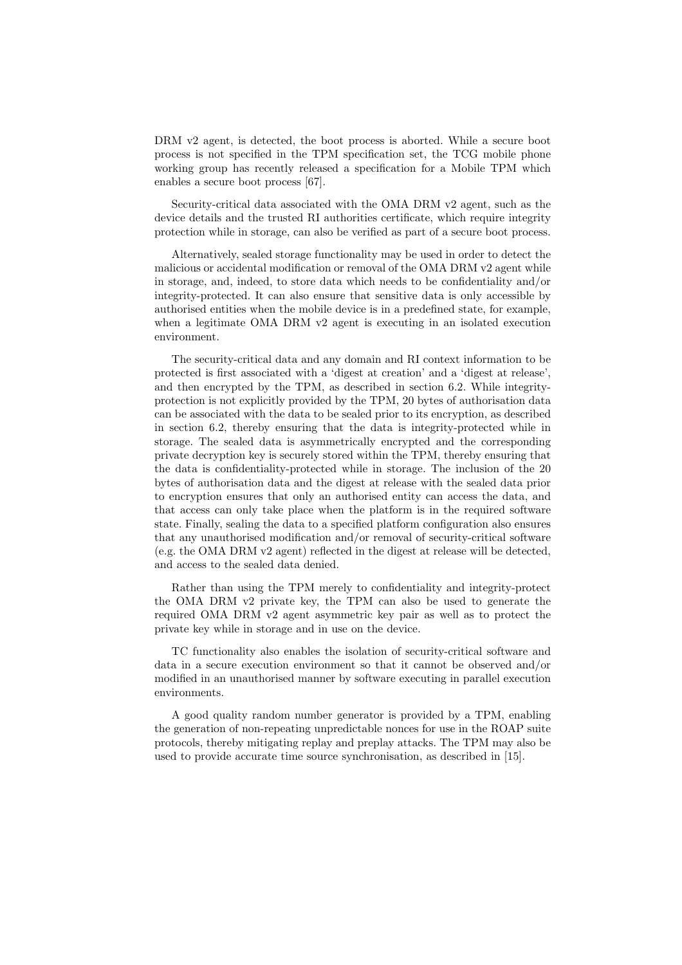DRM v2 agent, is detected, the boot process is aborted. While a secure boot process is not specified in the TPM specification set, the TCG mobile phone working group has recently released a specification for a Mobile TPM which enables a secure boot process [67].

Security-critical data associated with the OMA DRM v2 agent, such as the device details and the trusted RI authorities certificate, which require integrity protection while in storage, can also be verified as part of a secure boot process.

Alternatively, sealed storage functionality may be used in order to detect the malicious or accidental modification or removal of the OMA DRM v2 agent while in storage, and, indeed, to store data which needs to be confidentiality and/or integrity-protected. It can also ensure that sensitive data is only accessible by authorised entities when the mobile device is in a predefined state, for example, when a legitimate OMA DRM v2 agent is executing in an isolated execution environment.

The security-critical data and any domain and RI context information to be protected is first associated with a 'digest at creation' and a 'digest at release', and then encrypted by the TPM, as described in section 6.2. While integrityprotection is not explicitly provided by the TPM, 20 bytes of authorisation data can be associated with the data to be sealed prior to its encryption, as described in section 6.2, thereby ensuring that the data is integrity-protected while in storage. The sealed data is asymmetrically encrypted and the corresponding private decryption key is securely stored within the TPM, thereby ensuring that the data is confidentiality-protected while in storage. The inclusion of the 20 bytes of authorisation data and the digest at release with the sealed data prior to encryption ensures that only an authorised entity can access the data, and that access can only take place when the platform is in the required software state. Finally, sealing the data to a specified platform configuration also ensures that any unauthorised modification and/or removal of security-critical software (e.g. the OMA DRM v2 agent) reflected in the digest at release will be detected, and access to the sealed data denied.

Rather than using the TPM merely to confidentiality and integrity-protect the OMA DRM v2 private key, the TPM can also be used to generate the required OMA DRM v2 agent asymmetric key pair as well as to protect the private key while in storage and in use on the device.

TC functionality also enables the isolation of security-critical software and data in a secure execution environment so that it cannot be observed and/or modified in an unauthorised manner by software executing in parallel execution environments.

A good quality random number generator is provided by a TPM, enabling the generation of non-repeating unpredictable nonces for use in the ROAP suite protocols, thereby mitigating replay and preplay attacks. The TPM may also be used to provide accurate time source synchronisation, as described in [15].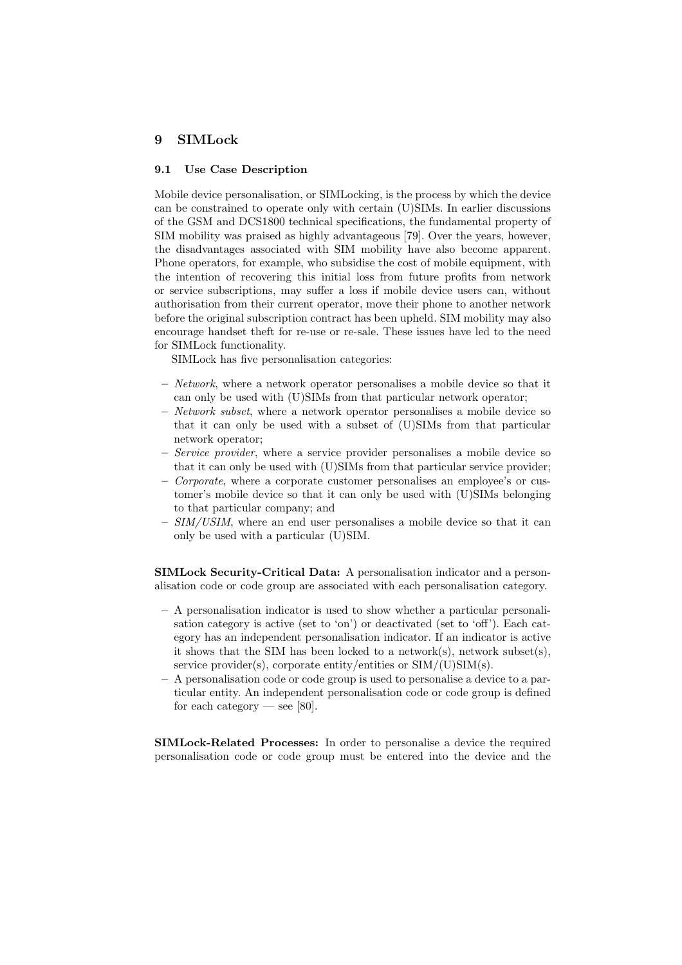# 9 SIMLock

### 9.1 Use Case Description

Mobile device personalisation, or SIMLocking, is the process by which the device can be constrained to operate only with certain (U)SIMs. In earlier discussions of the GSM and DCS1800 technical specifications, the fundamental property of SIM mobility was praised as highly advantageous [79]. Over the years, however, the disadvantages associated with SIM mobility have also become apparent. Phone operators, for example, who subsidise the cost of mobile equipment, with the intention of recovering this initial loss from future profits from network or service subscriptions, may suffer a loss if mobile device users can, without authorisation from their current operator, move their phone to another network before the original subscription contract has been upheld. SIM mobility may also encourage handset theft for re-use or re-sale. These issues have led to the need for SIMLock functionality.

SIMLock has five personalisation categories:

- Network, where a network operator personalises a mobile device so that it can only be used with (U)SIMs from that particular network operator;
- Network subset, where a network operator personalises a mobile device so that it can only be used with a subset of (U)SIMs from that particular network operator;
- Service provider, where a service provider personalises a mobile device so that it can only be used with (U)SIMs from that particular service provider;
- Corporate, where a corporate customer personalises an employee's or customer's mobile device so that it can only be used with (U)SIMs belonging to that particular company; and
- $SIM/USIM$ , where an end user personalises a mobile device so that it can only be used with a particular (U)SIM.

SIMLock Security-Critical Data: A personalisation indicator and a personalisation code or code group are associated with each personalisation category.

- A personalisation indicator is used to show whether a particular personalisation category is active (set to 'on') or deactivated (set to 'off'). Each category has an independent personalisation indicator. If an indicator is active it shows that the SIM has been locked to a network(s), network subset $(s)$ , service provider(s), corporate entity/entities or  $SIM/(U)SIM(s)$ .
- A personalisation code or code group is used to personalise a device to a particular entity. An independent personalisation code or code group is defined for each category — see [80].

SIMLock-Related Processes: In order to personalise a device the required personalisation code or code group must be entered into the device and the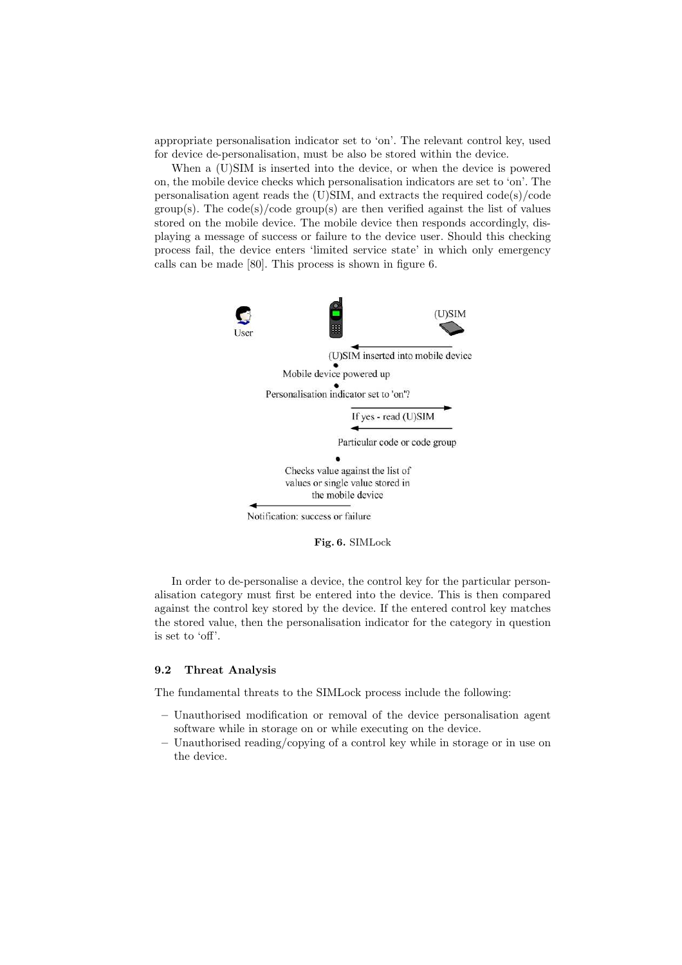appropriate personalisation indicator set to 'on'. The relevant control key, used for device de-personalisation, must be also be stored within the device.

When a (U)SIM is inserted into the device, or when the device is powered on, the mobile device checks which personalisation indicators are set to 'on'. The personalisation agent reads the (U)SIM, and extracts the required code(s)/code group(s). The code(s)/code group(s) are then verified against the list of values stored on the mobile device. The mobile device then responds accordingly, displaying a message of success or failure to the device user. Should this checking process fail, the device enters 'limited service state' in which only emergency calls can be made [80]. This process is shown in figure 6.



Fig. 6. SIMLock

In order to de-personalise a device, the control key for the particular personalisation category must first be entered into the device. This is then compared against the control key stored by the device. If the entered control key matches the stored value, then the personalisation indicator for the category in question is set to 'off'.

# 9.2 Threat Analysis

The fundamental threats to the SIMLock process include the following:

- Unauthorised modification or removal of the device personalisation agent software while in storage on or while executing on the device.
- Unauthorised reading/copying of a control key while in storage or in use on the device.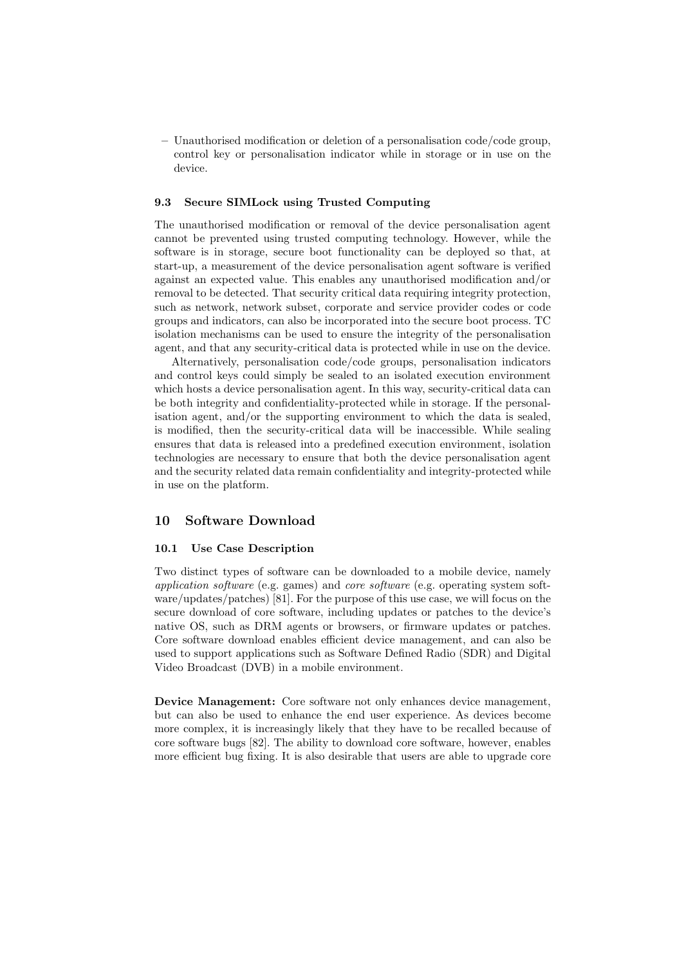– Unauthorised modification or deletion of a personalisation code/code group, control key or personalisation indicator while in storage or in use on the device.

### 9.3 Secure SIMLock using Trusted Computing

The unauthorised modification or removal of the device personalisation agent cannot be prevented using trusted computing technology. However, while the software is in storage, secure boot functionality can be deployed so that, at start-up, a measurement of the device personalisation agent software is verified against an expected value. This enables any unauthorised modification and/or removal to be detected. That security critical data requiring integrity protection, such as network, network subset, corporate and service provider codes or code groups and indicators, can also be incorporated into the secure boot process. TC isolation mechanisms can be used to ensure the integrity of the personalisation agent, and that any security-critical data is protected while in use on the device.

Alternatively, personalisation code/code groups, personalisation indicators and control keys could simply be sealed to an isolated execution environment which hosts a device personalisation agent. In this way, security-critical data can be both integrity and confidentiality-protected while in storage. If the personalisation agent, and/or the supporting environment to which the data is sealed, is modified, then the security-critical data will be inaccessible. While sealing ensures that data is released into a predefined execution environment, isolation technologies are necessary to ensure that both the device personalisation agent and the security related data remain confidentiality and integrity-protected while in use on the platform.

# 10 Software Download

### 10.1 Use Case Description

Two distinct types of software can be downloaded to a mobile device, namely application software (e.g. games) and core software (e.g. operating system software/updates/patches) [81]. For the purpose of this use case, we will focus on the secure download of core software, including updates or patches to the device's native OS, such as DRM agents or browsers, or firmware updates or patches. Core software download enables efficient device management, and can also be used to support applications such as Software Defined Radio (SDR) and Digital Video Broadcast (DVB) in a mobile environment.

Device Management: Core software not only enhances device management, but can also be used to enhance the end user experience. As devices become more complex, it is increasingly likely that they have to be recalled because of core software bugs [82]. The ability to download core software, however, enables more efficient bug fixing. It is also desirable that users are able to upgrade core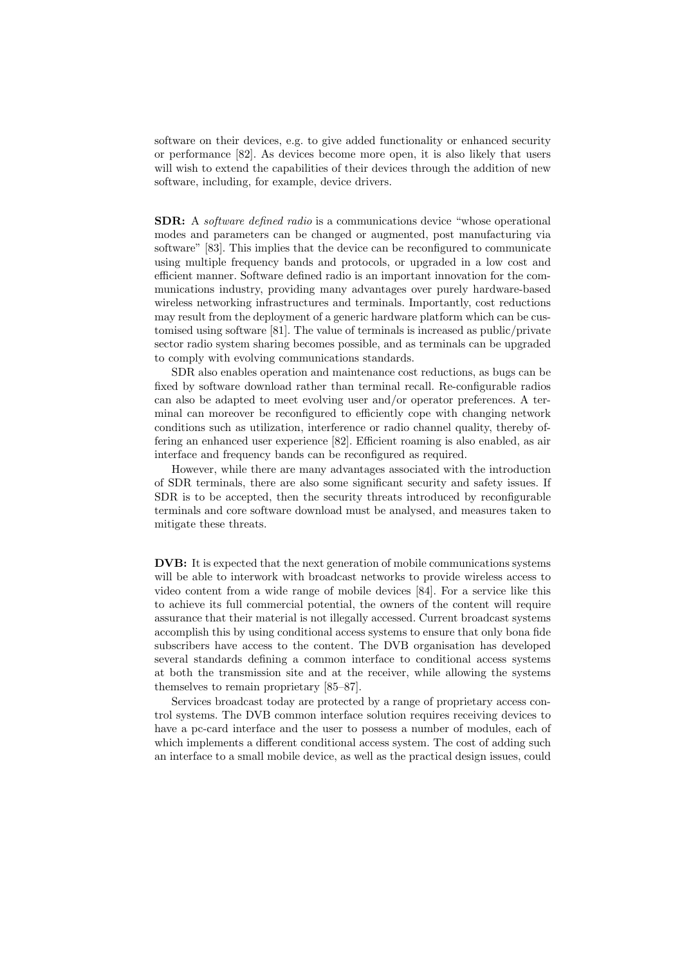software on their devices, e.g. to give added functionality or enhanced security or performance [82]. As devices become more open, it is also likely that users will wish to extend the capabilities of their devices through the addition of new software, including, for example, device drivers.

SDR: A software defined radio is a communications device "whose operational modes and parameters can be changed or augmented, post manufacturing via software" [83]. This implies that the device can be reconfigured to communicate using multiple frequency bands and protocols, or upgraded in a low cost and efficient manner. Software defined radio is an important innovation for the communications industry, providing many advantages over purely hardware-based wireless networking infrastructures and terminals. Importantly, cost reductions may result from the deployment of a generic hardware platform which can be customised using software [81]. The value of terminals is increased as public/private sector radio system sharing becomes possible, and as terminals can be upgraded to comply with evolving communications standards.

SDR also enables operation and maintenance cost reductions, as bugs can be fixed by software download rather than terminal recall. Re-configurable radios can also be adapted to meet evolving user and/or operator preferences. A terminal can moreover be reconfigured to efficiently cope with changing network conditions such as utilization, interference or radio channel quality, thereby offering an enhanced user experience [82]. Efficient roaming is also enabled, as air interface and frequency bands can be reconfigured as required.

However, while there are many advantages associated with the introduction of SDR terminals, there are also some significant security and safety issues. If SDR is to be accepted, then the security threats introduced by reconfigurable terminals and core software download must be analysed, and measures taken to mitigate these threats.

DVB: It is expected that the next generation of mobile communications systems will be able to interwork with broadcast networks to provide wireless access to video content from a wide range of mobile devices [84]. For a service like this to achieve its full commercial potential, the owners of the content will require assurance that their material is not illegally accessed. Current broadcast systems accomplish this by using conditional access systems to ensure that only bona fide subscribers have access to the content. The DVB organisation has developed several standards defining a common interface to conditional access systems at both the transmission site and at the receiver, while allowing the systems themselves to remain proprietary [85–87].

Services broadcast today are protected by a range of proprietary access control systems. The DVB common interface solution requires receiving devices to have a pc-card interface and the user to possess a number of modules, each of which implements a different conditional access system. The cost of adding such an interface to a small mobile device, as well as the practical design issues, could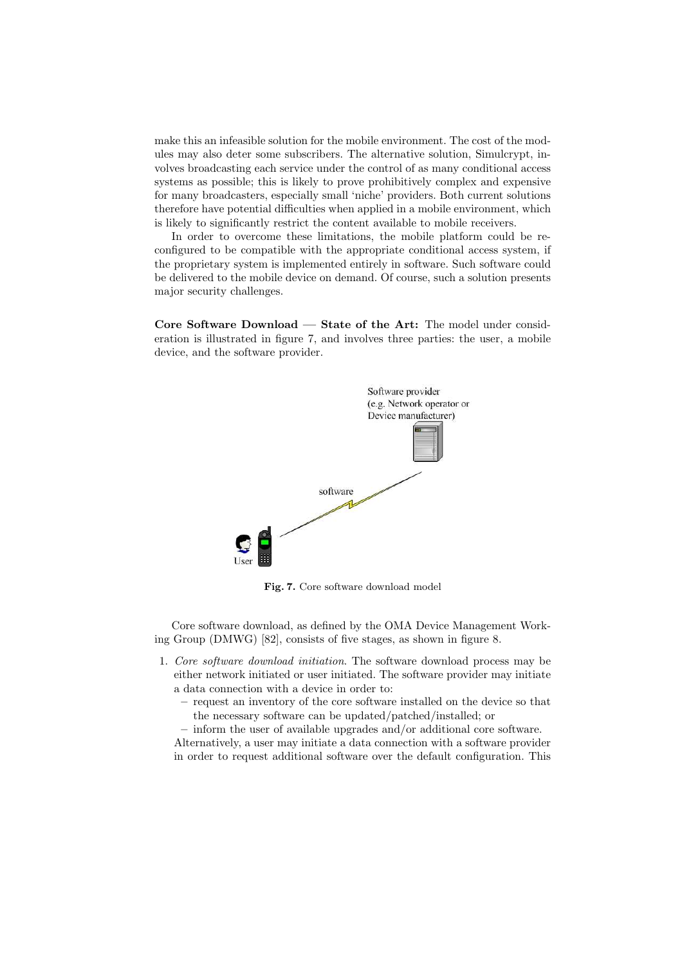make this an infeasible solution for the mobile environment. The cost of the modules may also deter some subscribers. The alternative solution, Simulcrypt, involves broadcasting each service under the control of as many conditional access systems as possible; this is likely to prove prohibitively complex and expensive for many broadcasters, especially small 'niche' providers. Both current solutions therefore have potential difficulties when applied in a mobile environment, which is likely to significantly restrict the content available to mobile receivers.

In order to overcome these limitations, the mobile platform could be reconfigured to be compatible with the appropriate conditional access system, if the proprietary system is implemented entirely in software. Such software could be delivered to the mobile device on demand. Of course, such a solution presents major security challenges.

Core Software Download — State of the Art: The model under consideration is illustrated in figure 7, and involves three parties: the user, a mobile device, and the software provider.



Fig. 7. Core software download model

Core software download, as defined by the OMA Device Management Working Group (DMWG) [82], consists of five stages, as shown in figure 8.

- 1. Core software download initiation. The software download process may be either network initiated or user initiated. The software provider may initiate a data connection with a device in order to:
	- request an inventory of the core software installed on the device so that the necessary software can be updated/patched/installed; or
	- inform the user of available upgrades and/or additional core software.
	- Alternatively, a user may initiate a data connection with a software provider in order to request additional software over the default configuration. This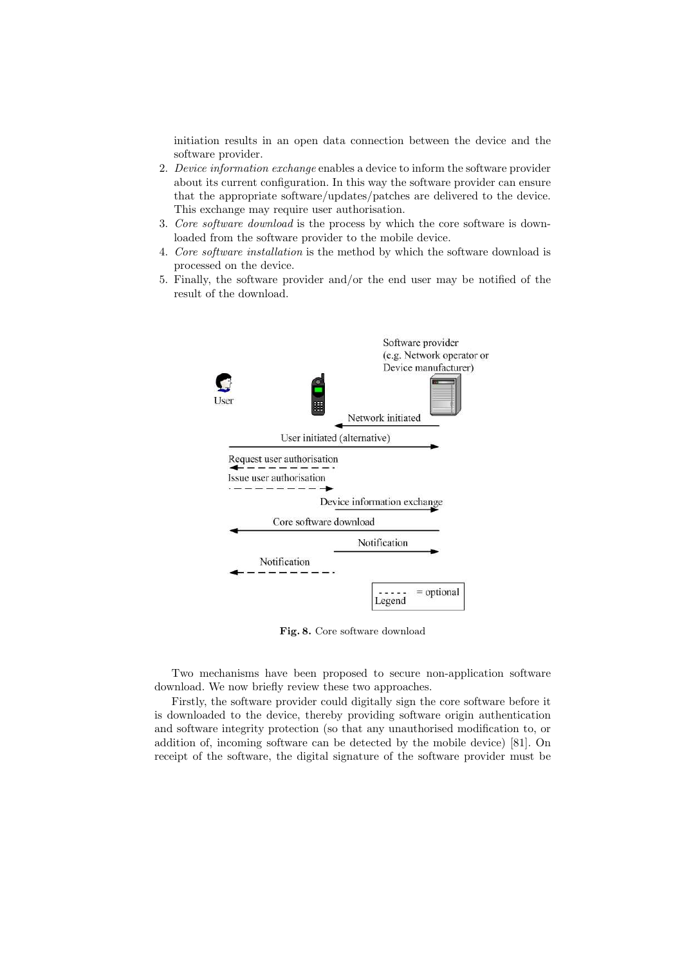initiation results in an open data connection between the device and the software provider.

- 2. Device information exchange enables a device to inform the software provider about its current configuration. In this way the software provider can ensure that the appropriate software/updates/patches are delivered to the device. This exchange may require user authorisation.
- 3. Core software download is the process by which the core software is downloaded from the software provider to the mobile device.
- 4. Core software installation is the method by which the software download is processed on the device.
- 5. Finally, the software provider and/or the end user may be notified of the result of the download.



Fig. 8. Core software download

Two mechanisms have been proposed to secure non-application software download. We now briefly review these two approaches.

Firstly, the software provider could digitally sign the core software before it is downloaded to the device, thereby providing software origin authentication and software integrity protection (so that any unauthorised modification to, or addition of, incoming software can be detected by the mobile device) [81]. On receipt of the software, the digital signature of the software provider must be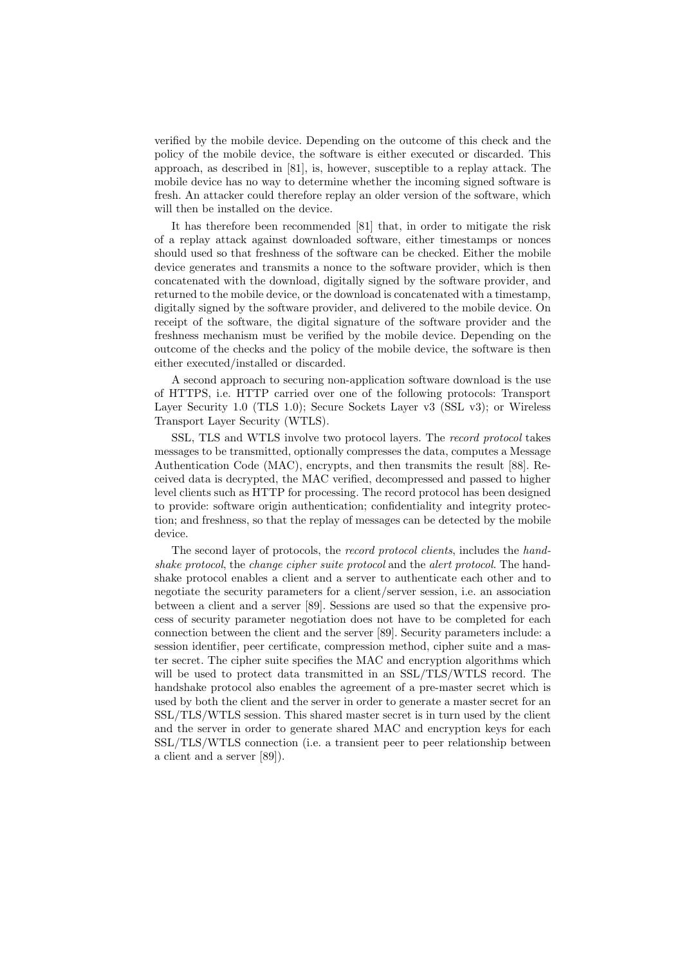verified by the mobile device. Depending on the outcome of this check and the policy of the mobile device, the software is either executed or discarded. This approach, as described in [81], is, however, susceptible to a replay attack. The mobile device has no way to determine whether the incoming signed software is fresh. An attacker could therefore replay an older version of the software, which will then be installed on the device.

It has therefore been recommended [81] that, in order to mitigate the risk of a replay attack against downloaded software, either timestamps or nonces should used so that freshness of the software can be checked. Either the mobile device generates and transmits a nonce to the software provider, which is then concatenated with the download, digitally signed by the software provider, and returned to the mobile device, or the download is concatenated with a timestamp, digitally signed by the software provider, and delivered to the mobile device. On receipt of the software, the digital signature of the software provider and the freshness mechanism must be verified by the mobile device. Depending on the outcome of the checks and the policy of the mobile device, the software is then either executed/installed or discarded.

A second approach to securing non-application software download is the use of HTTPS, i.e. HTTP carried over one of the following protocols: Transport Layer Security 1.0 (TLS 1.0); Secure Sockets Layer v3 (SSL v3); or Wireless Transport Layer Security (WTLS).

SSL, TLS and WTLS involve two protocol layers. The record protocol takes messages to be transmitted, optionally compresses the data, computes a Message Authentication Code (MAC), encrypts, and then transmits the result [88]. Received data is decrypted, the MAC verified, decompressed and passed to higher level clients such as HTTP for processing. The record protocol has been designed to provide: software origin authentication; confidentiality and integrity protection; and freshness, so that the replay of messages can be detected by the mobile device.

The second layer of protocols, the record protocol clients, includes the handshake protocol, the change cipher suite protocol and the alert protocol. The handshake protocol enables a client and a server to authenticate each other and to negotiate the security parameters for a client/server session, i.e. an association between a client and a server [89]. Sessions are used so that the expensive process of security parameter negotiation does not have to be completed for each connection between the client and the server [89]. Security parameters include: a session identifier, peer certificate, compression method, cipher suite and a master secret. The cipher suite specifies the MAC and encryption algorithms which will be used to protect data transmitted in an SSL/TLS/WTLS record. The handshake protocol also enables the agreement of a pre-master secret which is used by both the client and the server in order to generate a master secret for an SSL/TLS/WTLS session. This shared master secret is in turn used by the client and the server in order to generate shared MAC and encryption keys for each SSL/TLS/WTLS connection (i.e. a transient peer to peer relationship between a client and a server [89]).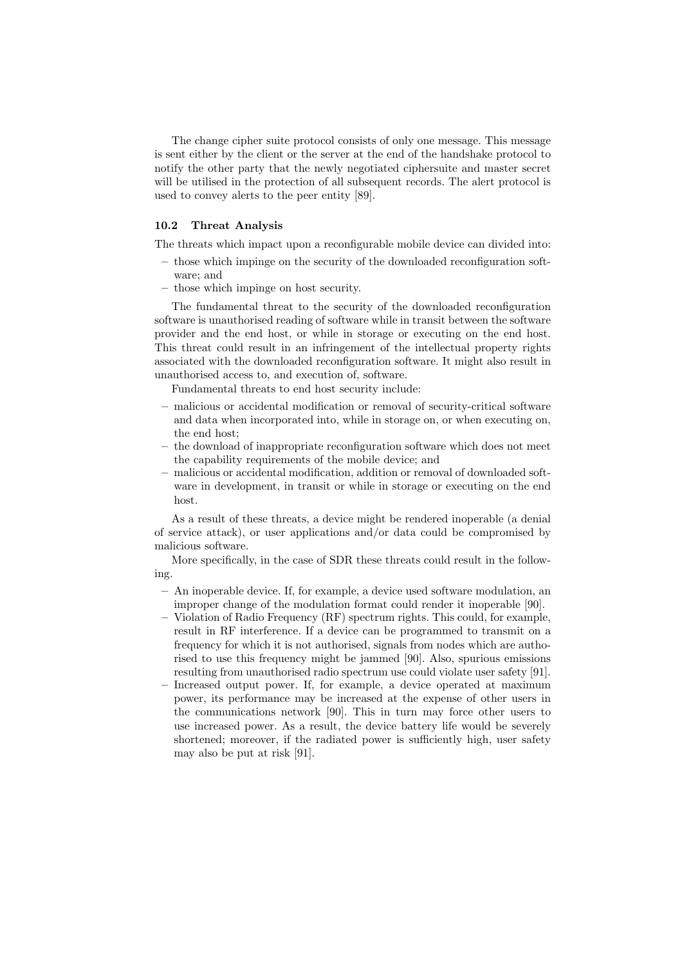The change cipher suite protocol consists of only one message. This message is sent either by the client or the server at the end of the handshake protocol to notify the other party that the newly negotiated ciphersuite and master secret will be utilised in the protection of all subsequent records. The alert protocol is used to convey alerts to the peer entity [89].

# 10.2 Threat Analysis

The threats which impact upon a reconfigurable mobile device can divided into:

- those which impinge on the security of the downloaded reconfiguration software; and
- those which impinge on host security.

The fundamental threat to the security of the downloaded reconfiguration software is unauthorised reading of software while in transit between the software provider and the end host, or while in storage or executing on the end host. This threat could result in an infringement of the intellectual property rights associated with the downloaded reconfiguration software. It might also result in unauthorised access to, and execution of, software.

Fundamental threats to end host security include:

- malicious or accidental modification or removal of security-critical software and data when incorporated into, while in storage on, or when executing on, the end host;
- the download of inappropriate reconfiguration software which does not meet the capability requirements of the mobile device; and
- malicious or accidental modification, addition or removal of downloaded software in development, in transit or while in storage or executing on the end host.

As a result of these threats, a device might be rendered inoperable (a denial of service attack), or user applications and/or data could be compromised by malicious software.

More specifically, in the case of SDR these threats could result in the following.

- An inoperable device. If, for example, a device used software modulation, an improper change of the modulation format could render it inoperable [90].
- Violation of Radio Frequency (RF) spectrum rights. This could, for example, result in RF interference. If a device can be programmed to transmit on a frequency for which it is not authorised, signals from nodes which are authorised to use this frequency might be jammed [90]. Also, spurious emissions resulting from unauthorised radio spectrum use could violate user safety [91].
- Increased output power. If, for example, a device operated at maximum power, its performance may be increased at the expense of other users in the communications network [90]. This in turn may force other users to use increased power. As a result, the device battery life would be severely shortened; moreover, if the radiated power is sufficiently high, user safety may also be put at risk [91].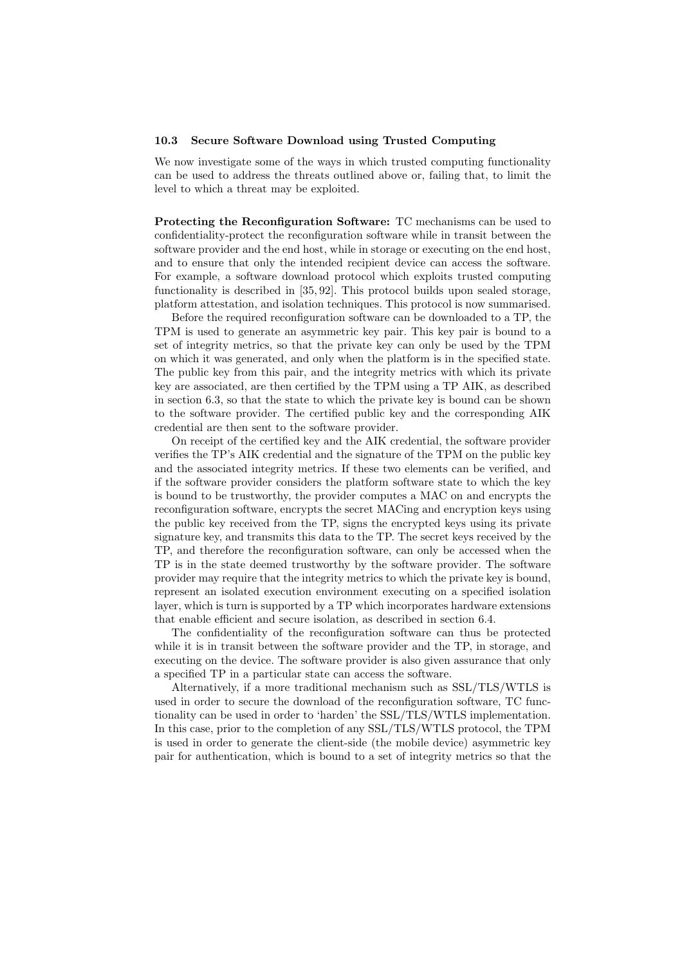#### 10.3 Secure Software Download using Trusted Computing

We now investigate some of the ways in which trusted computing functionality can be used to address the threats outlined above or, failing that, to limit the level to which a threat may be exploited.

Protecting the Reconfiguration Software: TC mechanisms can be used to confidentiality-protect the reconfiguration software while in transit between the software provider and the end host, while in storage or executing on the end host, and to ensure that only the intended recipient device can access the software. For example, a software download protocol which exploits trusted computing functionality is described in [35, 92]. This protocol builds upon sealed storage, platform attestation, and isolation techniques. This protocol is now summarised.

Before the required reconfiguration software can be downloaded to a TP, the TPM is used to generate an asymmetric key pair. This key pair is bound to a set of integrity metrics, so that the private key can only be used by the TPM on which it was generated, and only when the platform is in the specified state. The public key from this pair, and the integrity metrics with which its private key are associated, are then certified by the TPM using a TP AIK, as described in section 6.3, so that the state to which the private key is bound can be shown to the software provider. The certified public key and the corresponding AIK credential are then sent to the software provider.

On receipt of the certified key and the AIK credential, the software provider verifies the TP's AIK credential and the signature of the TPM on the public key and the associated integrity metrics. If these two elements can be verified, and if the software provider considers the platform software state to which the key is bound to be trustworthy, the provider computes a MAC on and encrypts the reconfiguration software, encrypts the secret MACing and encryption keys using the public key received from the TP, signs the encrypted keys using its private signature key, and transmits this data to the TP. The secret keys received by the TP, and therefore the reconfiguration software, can only be accessed when the TP is in the state deemed trustworthy by the software provider. The software provider may require that the integrity metrics to which the private key is bound, represent an isolated execution environment executing on a specified isolation layer, which is turn is supported by a TP which incorporates hardware extensions that enable efficient and secure isolation, as described in section 6.4.

The confidentiality of the reconfiguration software can thus be protected while it is in transit between the software provider and the TP, in storage, and executing on the device. The software provider is also given assurance that only a specified TP in a particular state can access the software.

Alternatively, if a more traditional mechanism such as SSL/TLS/WTLS is used in order to secure the download of the reconfiguration software, TC functionality can be used in order to 'harden' the SSL/TLS/WTLS implementation. In this case, prior to the completion of any SSL/TLS/WTLS protocol, the TPM is used in order to generate the client-side (the mobile device) asymmetric key pair for authentication, which is bound to a set of integrity metrics so that the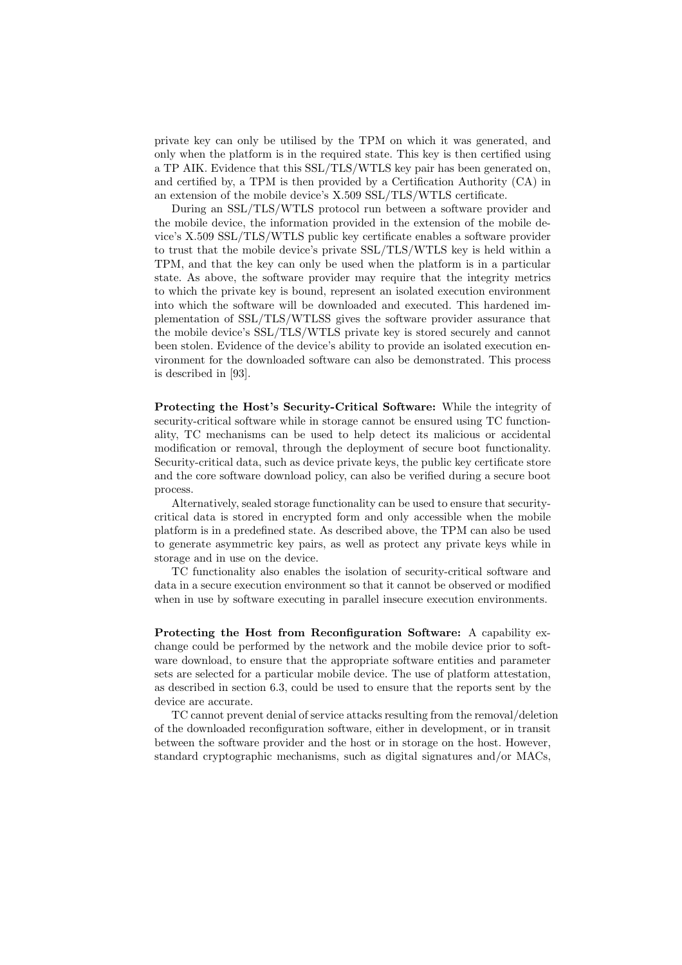private key can only be utilised by the TPM on which it was generated, and only when the platform is in the required state. This key is then certified using a TP AIK. Evidence that this SSL/TLS/WTLS key pair has been generated on, and certified by, a TPM is then provided by a Certification Authority (CA) in an extension of the mobile device's X.509 SSL/TLS/WTLS certificate.

During an SSL/TLS/WTLS protocol run between a software provider and the mobile device, the information provided in the extension of the mobile device's X.509 SSL/TLS/WTLS public key certificate enables a software provider to trust that the mobile device's private SSL/TLS/WTLS key is held within a TPM, and that the key can only be used when the platform is in a particular state. As above, the software provider may require that the integrity metrics to which the private key is bound, represent an isolated execution environment into which the software will be downloaded and executed. This hardened implementation of SSL/TLS/WTLSS gives the software provider assurance that the mobile device's SSL/TLS/WTLS private key is stored securely and cannot been stolen. Evidence of the device's ability to provide an isolated execution environment for the downloaded software can also be demonstrated. This process is described in [93].

Protecting the Host's Security-Critical Software: While the integrity of security-critical software while in storage cannot be ensured using TC functionality, TC mechanisms can be used to help detect its malicious or accidental modification or removal, through the deployment of secure boot functionality. Security-critical data, such as device private keys, the public key certificate store and the core software download policy, can also be verified during a secure boot process.

Alternatively, sealed storage functionality can be used to ensure that securitycritical data is stored in encrypted form and only accessible when the mobile platform is in a predefined state. As described above, the TPM can also be used to generate asymmetric key pairs, as well as protect any private keys while in storage and in use on the device.

TC functionality also enables the isolation of security-critical software and data in a secure execution environment so that it cannot be observed or modified when in use by software executing in parallel insecure execution environments.

Protecting the Host from Reconfiguration Software: A capability exchange could be performed by the network and the mobile device prior to software download, to ensure that the appropriate software entities and parameter sets are selected for a particular mobile device. The use of platform attestation, as described in section 6.3, could be used to ensure that the reports sent by the device are accurate.

TC cannot prevent denial of service attacks resulting from the removal/deletion of the downloaded reconfiguration software, either in development, or in transit between the software provider and the host or in storage on the host. However, standard cryptographic mechanisms, such as digital signatures and/or MACs,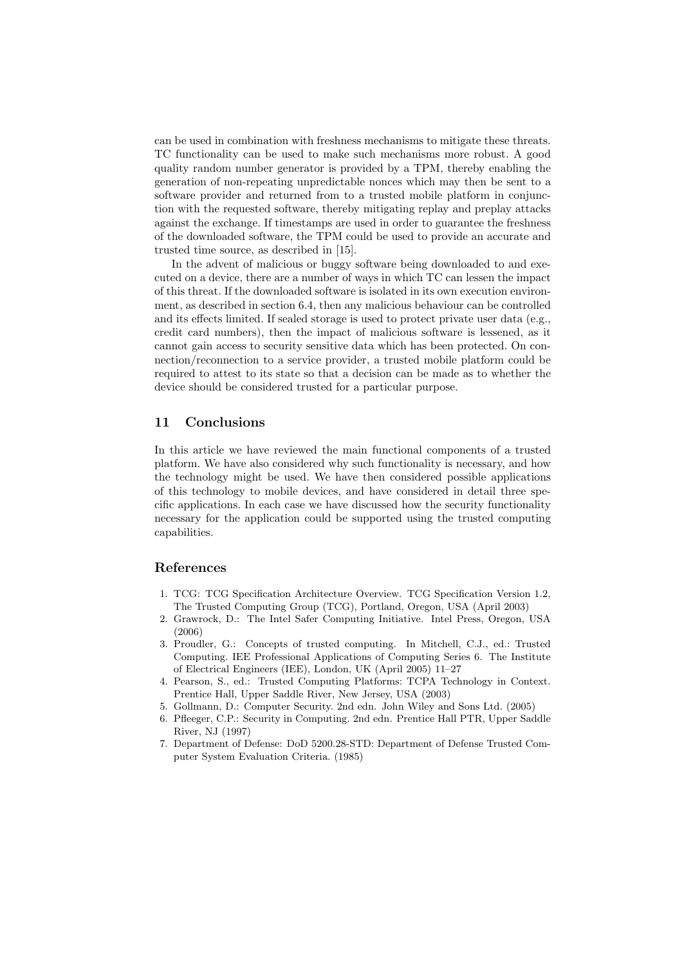can be used in combination with freshness mechanisms to mitigate these threats. TC functionality can be used to make such mechanisms more robust. A good quality random number generator is provided by a TPM, thereby enabling the generation of non-repeating unpredictable nonces which may then be sent to a software provider and returned from to a trusted mobile platform in conjunction with the requested software, thereby mitigating replay and preplay attacks against the exchange. If timestamps are used in order to guarantee the freshness of the downloaded software, the TPM could be used to provide an accurate and trusted time source, as described in [15].

In the advent of malicious or buggy software being downloaded to and executed on a device, there are a number of ways in which TC can lessen the impact of this threat. If the downloaded software is isolated in its own execution environment, as described in section 6.4, then any malicious behaviour can be controlled and its effects limited. If sealed storage is used to protect private user data (e.g., credit card numbers), then the impact of malicious software is lessened, as it cannot gain access to security sensitive data which has been protected. On connection/reconnection to a service provider, a trusted mobile platform could be required to attest to its state so that a decision can be made as to whether the device should be considered trusted for a particular purpose.

# 11 Conclusions

In this article we have reviewed the main functional components of a trusted platform. We have also considered why such functionality is necessary, and how the technology might be used. We have then considered possible applications of this technology to mobile devices, and have considered in detail three specific applications. In each case we have discussed how the security functionality necessary for the application could be supported using the trusted computing capabilities.

# References

- 1. TCG: TCG Specification Architecture Overview. TCG Specification Version 1.2, The Trusted Computing Group (TCG), Portland, Oregon, USA (April 2003)
- 2. Grawrock, D.: The Intel Safer Computing Initiative. Intel Press, Oregon, USA (2006)
- 3. Proudler, G.: Concepts of trusted computing. In Mitchell, C.J., ed.: Trusted Computing. IEE Professional Applications of Computing Series 6. The Institute of Electrical Engineers (IEE), London, UK (April 2005) 11–27
- 4. Pearson, S., ed.: Trusted Computing Platforms: TCPA Technology in Context. Prentice Hall, Upper Saddle River, New Jersey, USA (2003)
- 5. Gollmann, D.: Computer Security. 2nd edn. John Wiley and Sons Ltd. (2005)
- 6. Pfleeger, C.P.: Security in Computing. 2nd edn. Prentice Hall PTR, Upper Saddle River, NJ (1997)
- 7. Department of Defense: DoD 5200.28-STD: Department of Defense Trusted Computer System Evaluation Criteria. (1985)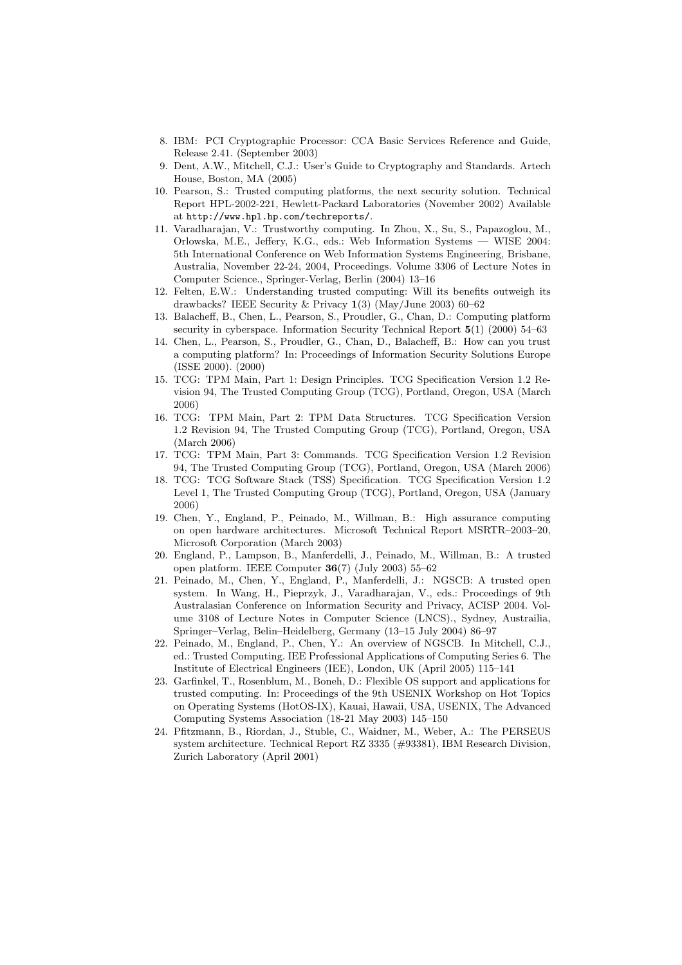- 8. IBM: PCI Cryptographic Processor: CCA Basic Services Reference and Guide, Release 2.41. (September 2003)
- 9. Dent, A.W., Mitchell, C.J.: User's Guide to Cryptography and Standards. Artech House, Boston, MA (2005)
- 10. Pearson, S.: Trusted computing platforms, the next security solution. Technical Report HPL-2002-221, Hewlett-Packard Laboratories (November 2002) Available at http://www.hpl.hp.com/techreports/.
- 11. Varadharajan, V.: Trustworthy computing. In Zhou, X., Su, S., Papazoglou, M., Orlowska, M.E., Jeffery, K.G., eds.: Web Information Systems — WISE 2004: 5th International Conference on Web Information Systems Engineering, Brisbane, Australia, November 22-24, 2004, Proceedings. Volume 3306 of Lecture Notes in Computer Science., Springer-Verlag, Berlin (2004) 13–16
- 12. Felten, E.W.: Understanding trusted computing: Will its benefits outweigh its drawbacks? IEEE Security & Privacy  $1(3)$  (May/June 2003) 60–62
- 13. Balacheff, B., Chen, L., Pearson, S., Proudler, G., Chan, D.: Computing platform security in cyberspace. Information Security Technical Report  $5(1)$  (2000) 54–63
- 14. Chen, L., Pearson, S., Proudler, G., Chan, D., Balacheff, B.: How can you trust a computing platform? In: Proceedings of Information Security Solutions Europe (ISSE 2000). (2000)
- 15. TCG: TPM Main, Part 1: Design Principles. TCG Specification Version 1.2 Revision 94, The Trusted Computing Group (TCG), Portland, Oregon, USA (March 2006)
- 16. TCG: TPM Main, Part 2: TPM Data Structures. TCG Specification Version 1.2 Revision 94, The Trusted Computing Group (TCG), Portland, Oregon, USA (March 2006)
- 17. TCG: TPM Main, Part 3: Commands. TCG Specification Version 1.2 Revision 94, The Trusted Computing Group (TCG), Portland, Oregon, USA (March 2006)
- 18. TCG: TCG Software Stack (TSS) Specification. TCG Specification Version 1.2 Level 1, The Trusted Computing Group (TCG), Portland, Oregon, USA (January 2006)
- 19. Chen, Y., England, P., Peinado, M., Willman, B.: High assurance computing on open hardware architectures. Microsoft Technical Report MSRTR–2003–20, Microsoft Corporation (March 2003)
- 20. England, P., Lampson, B., Manferdelli, J., Peinado, M., Willman, B.: A trusted open platform. IEEE Computer 36(7) (July 2003) 55–62
- 21. Peinado, M., Chen, Y., England, P., Manferdelli, J.: NGSCB: A trusted open system. In Wang, H., Pieprzyk, J., Varadharajan, V., eds.: Proceedings of 9th Australasian Conference on Information Security and Privacy, ACISP 2004. Volume 3108 of Lecture Notes in Computer Science (LNCS)., Sydney, Austrailia, Springer–Verlag, Belin–Heidelberg, Germany (13–15 July 2004) 86–97
- 22. Peinado, M., England, P., Chen, Y.: An overview of NGSCB. In Mitchell, C.J., ed.: Trusted Computing. IEE Professional Applications of Computing Series 6. The Institute of Electrical Engineers (IEE), London, UK (April 2005) 115–141
- 23. Garfinkel, T., Rosenblum, M., Boneh, D.: Flexible OS support and applications for trusted computing. In: Proceedings of the 9th USENIX Workshop on Hot Topics on Operating Systems (HotOS-IX), Kauai, Hawaii, USA, USENIX, The Advanced Computing Systems Association (18-21 May 2003) 145–150
- 24. Pfitzmann, B., Riordan, J., Stuble, C., Waidner, M., Weber, A.: The PERSEUS system architecture. Technical Report RZ 3335 (#93381), IBM Research Division, Zurich Laboratory (April 2001)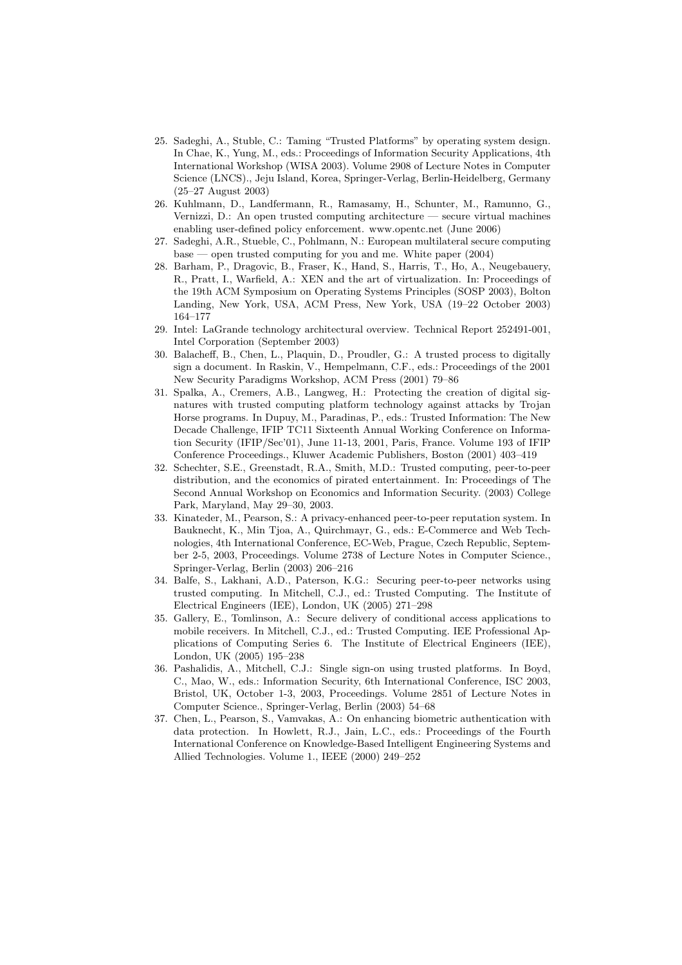- 25. Sadeghi, A., Stuble, C.: Taming "Trusted Platforms" by operating system design. In Chae, K., Yung, M., eds.: Proceedings of Information Security Applications, 4th International Workshop (WISA 2003). Volume 2908 of Lecture Notes in Computer Science (LNCS)., Jeju Island, Korea, Springer-Verlag, Berlin-Heidelberg, Germany (25–27 August 2003)
- 26. Kuhlmann, D., Landfermann, R., Ramasamy, H., Schunter, M., Ramunno, G., Vernizzi, D.: An open trusted computing architecture — secure virtual machines enabling user-defined policy enforcement. www.opentc.net (June 2006)
- 27. Sadeghi, A.R., Stueble, C., Pohlmann, N.: European multilateral secure computing base — open trusted computing for you and me. White paper (2004)
- 28. Barham, P., Dragovic, B., Fraser, K., Hand, S., Harris, T., Ho, A., Neugebauery, R., Pratt, I., Warfield, A.: XEN and the art of virtualization. In: Proceedings of the 19th ACM Symposium on Operating Systems Principles (SOSP 2003), Bolton Landing, New York, USA, ACM Press, New York, USA (19–22 October 2003) 164–177
- 29. Intel: LaGrande technology architectural overview. Technical Report 252491-001, Intel Corporation (September 2003)
- 30. Balacheff, B., Chen, L., Plaquin, D., Proudler, G.: A trusted process to digitally sign a document. In Raskin, V., Hempelmann, C.F., eds.: Proceedings of the 2001 New Security Paradigms Workshop, ACM Press (2001) 79–86
- 31. Spalka, A., Cremers, A.B., Langweg, H.: Protecting the creation of digital signatures with trusted computing platform technology against attacks by Trojan Horse programs. In Dupuy, M., Paradinas, P., eds.: Trusted Information: The New Decade Challenge, IFIP TC11 Sixteenth Annual Working Conference on Information Security (IFIP/Sec'01), June 11-13, 2001, Paris, France. Volume 193 of IFIP Conference Proceedings., Kluwer Academic Publishers, Boston (2001) 403–419
- 32. Schechter, S.E., Greenstadt, R.A., Smith, M.D.: Trusted computing, peer-to-peer distribution, and the economics of pirated entertainment. In: Proceedings of The Second Annual Workshop on Economics and Information Security. (2003) College Park, Maryland, May 29–30, 2003.
- 33. Kinateder, M., Pearson, S.: A privacy-enhanced peer-to-peer reputation system. In Bauknecht, K., Min Tjoa, A., Quirchmayr, G., eds.: E-Commerce and Web Technologies, 4th International Conference, EC-Web, Prague, Czech Republic, September 2-5, 2003, Proceedings. Volume 2738 of Lecture Notes in Computer Science., Springer-Verlag, Berlin (2003) 206–216
- 34. Balfe, S., Lakhani, A.D., Paterson, K.G.: Securing peer-to-peer networks using trusted computing. In Mitchell, C.J., ed.: Trusted Computing. The Institute of Electrical Engineers (IEE), London, UK (2005) 271–298
- 35. Gallery, E., Tomlinson, A.: Secure delivery of conditional access applications to mobile receivers. In Mitchell, C.J., ed.: Trusted Computing. IEE Professional Applications of Computing Series 6. The Institute of Electrical Engineers (IEE), London, UK (2005) 195–238
- 36. Pashalidis, A., Mitchell, C.J.: Single sign-on using trusted platforms. In Boyd, C., Mao, W., eds.: Information Security, 6th International Conference, ISC 2003, Bristol, UK, October 1-3, 2003, Proceedings. Volume 2851 of Lecture Notes in Computer Science., Springer-Verlag, Berlin (2003) 54–68
- 37. Chen, L., Pearson, S., Vamvakas, A.: On enhancing biometric authentication with data protection. In Howlett, R.J., Jain, L.C., eds.: Proceedings of the Fourth International Conference on Knowledge-Based Intelligent Engineering Systems and Allied Technologies. Volume 1., IEEE (2000) 249–252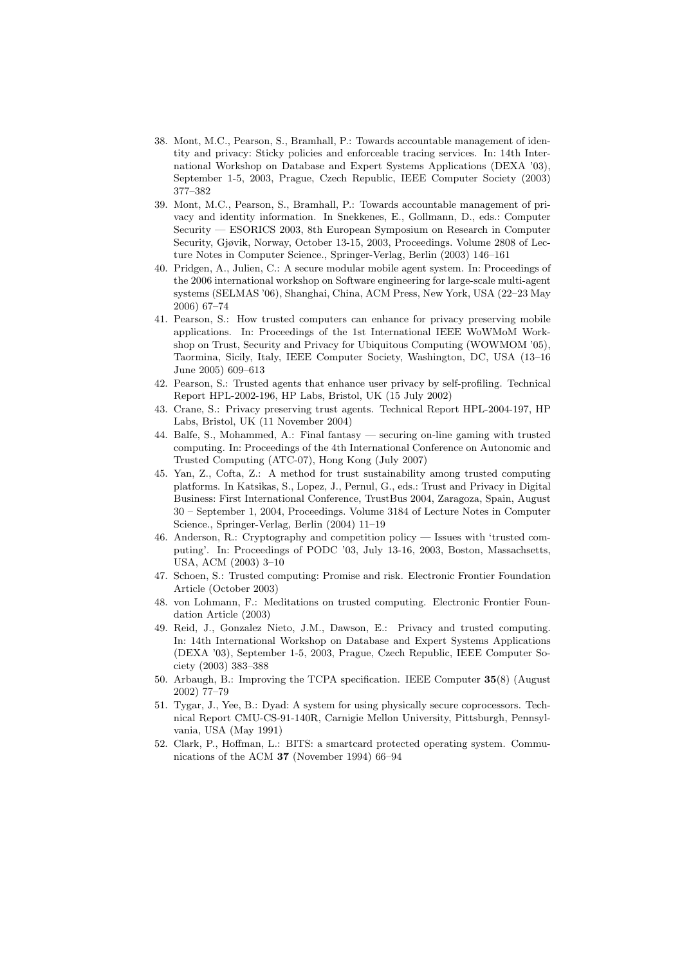- 38. Mont, M.C., Pearson, S., Bramhall, P.: Towards accountable management of identity and privacy: Sticky policies and enforceable tracing services. In: 14th International Workshop on Database and Expert Systems Applications (DEXA '03), September 1-5, 2003, Prague, Czech Republic, IEEE Computer Society (2003) 377–382
- 39. Mont, M.C., Pearson, S., Bramhall, P.: Towards accountable management of privacy and identity information. In Snekkenes, E., Gollmann, D., eds.: Computer Security — ESORICS 2003, 8th European Symposium on Research in Computer Security, Gjøvik, Norway, October 13-15, 2003, Proceedings. Volume 2808 of Lecture Notes in Computer Science., Springer-Verlag, Berlin (2003) 146–161
- 40. Pridgen, A., Julien, C.: A secure modular mobile agent system. In: Proceedings of the 2006 international workshop on Software engineering for large-scale multi-agent systems (SELMAS '06), Shanghai, China, ACM Press, New York, USA (22–23 May 2006) 67–74
- 41. Pearson, S.: How trusted computers can enhance for privacy preserving mobile applications. In: Proceedings of the 1st International IEEE WoWMoM Workshop on Trust, Security and Privacy for Ubiquitous Computing (WOWMOM '05), Taormina, Sicily, Italy, IEEE Computer Society, Washington, DC, USA (13–16 June 2005) 609–613
- 42. Pearson, S.: Trusted agents that enhance user privacy by self-profiling. Technical Report HPL-2002-196, HP Labs, Bristol, UK (15 July 2002)
- 43. Crane, S.: Privacy preserving trust agents. Technical Report HPL-2004-197, HP Labs, Bristol, UK (11 November 2004)
- 44. Balfe, S., Mohammed, A.: Final fantasy securing on-line gaming with trusted computing. In: Proceedings of the 4th International Conference on Autonomic and Trusted Computing (ATC-07), Hong Kong (July 2007)
- 45. Yan, Z., Cofta, Z.: A method for trust sustainability among trusted computing platforms. In Katsikas, S., Lopez, J., Pernul, G., eds.: Trust and Privacy in Digital Business: First International Conference, TrustBus 2004, Zaragoza, Spain, August 30 – September 1, 2004, Proceedings. Volume 3184 of Lecture Notes in Computer Science., Springer-Verlag, Berlin (2004) 11–19
- 46. Anderson, R.: Cryptography and competition policy Issues with 'trusted computing'. In: Proceedings of PODC '03, July 13-16, 2003, Boston, Massachsetts, USA, ACM (2003) 3–10
- 47. Schoen, S.: Trusted computing: Promise and risk. Electronic Frontier Foundation Article (October 2003)
- 48. von Lohmann, F.: Meditations on trusted computing. Electronic Frontier Foundation Article (2003)
- 49. Reid, J., Gonzalez Nieto, J.M., Dawson, E.: Privacy and trusted computing. In: 14th International Workshop on Database and Expert Systems Applications (DEXA '03), September 1-5, 2003, Prague, Czech Republic, IEEE Computer Society (2003) 383–388
- 50. Arbaugh, B.: Improving the TCPA specification. IEEE Computer 35(8) (August 2002) 77–79
- 51. Tygar, J., Yee, B.: Dyad: A system for using physically secure coprocessors. Technical Report CMU-CS-91-140R, Carnigie Mellon University, Pittsburgh, Pennsylvania, USA (May 1991)
- 52. Clark, P., Hoffman, L.: BITS: a smartcard protected operating system. Communications of the ACM 37 (November 1994) 66–94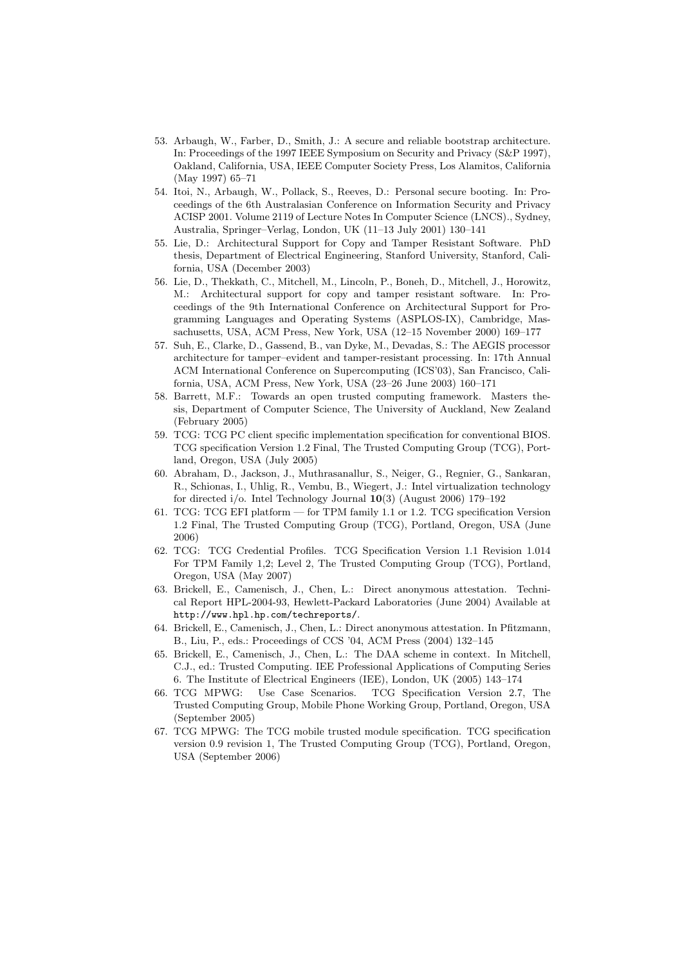- 53. Arbaugh, W., Farber, D., Smith, J.: A secure and reliable bootstrap architecture. In: Proceedings of the 1997 IEEE Symposium on Security and Privacy (S&P 1997), Oakland, California, USA, IEEE Computer Society Press, Los Alamitos, California (May 1997) 65–71
- 54. Itoi, N., Arbaugh, W., Pollack, S., Reeves, D.: Personal secure booting. In: Proceedings of the 6th Australasian Conference on Information Security and Privacy ACISP 2001. Volume 2119 of Lecture Notes In Computer Science (LNCS)., Sydney, Australia, Springer–Verlag, London, UK (11–13 July 2001) 130–141
- 55. Lie, D.: Architectural Support for Copy and Tamper Resistant Software. PhD thesis, Department of Electrical Engineering, Stanford University, Stanford, California, USA (December 2003)
- 56. Lie, D., Thekkath, C., Mitchell, M., Lincoln, P., Boneh, D., Mitchell, J., Horowitz, M.: Architectural support for copy and tamper resistant software. In: Proceedings of the 9th International Conference on Architectural Support for Programming Languages and Operating Systems (ASPLOS-IX), Cambridge, Massachusetts, USA, ACM Press, New York, USA (12–15 November 2000) 169–177
- 57. Suh, E., Clarke, D., Gassend, B., van Dyke, M., Devadas, S.: The AEGIS processor architecture for tamper–evident and tamper-resistant processing. In: 17th Annual ACM International Conference on Supercomputing (ICS'03), San Francisco, California, USA, ACM Press, New York, USA (23–26 June 2003) 160–171
- 58. Barrett, M.F.: Towards an open trusted computing framework. Masters thesis, Department of Computer Science, The University of Auckland, New Zealand (February 2005)
- 59. TCG: TCG PC client specific implementation specification for conventional BIOS. TCG specification Version 1.2 Final, The Trusted Computing Group (TCG), Portland, Oregon, USA (July 2005)
- 60. Abraham, D., Jackson, J., Muthrasanallur, S., Neiger, G., Regnier, G., Sankaran, R., Schionas, I., Uhlig, R., Vembu, B., Wiegert, J.: Intel virtualization technology for directed i/o. Intel Technology Journal 10(3) (August 2006) 179–192
- 61. TCG: TCG EFI platform for TPM family 1.1 or 1.2. TCG specification Version 1.2 Final, The Trusted Computing Group (TCG), Portland, Oregon, USA (June 2006)
- 62. TCG: TCG Credential Profiles. TCG Specification Version 1.1 Revision 1.014 For TPM Family 1,2; Level 2, The Trusted Computing Group (TCG), Portland, Oregon, USA (May 2007)
- 63. Brickell, E., Camenisch, J., Chen, L.: Direct anonymous attestation. Technical Report HPL-2004-93, Hewlett-Packard Laboratories (June 2004) Available at http://www.hpl.hp.com/techreports/.
- 64. Brickell, E., Camenisch, J., Chen, L.: Direct anonymous attestation. In Pfitzmann, B., Liu, P., eds.: Proceedings of CCS '04, ACM Press (2004) 132–145
- 65. Brickell, E., Camenisch, J., Chen, L.: The DAA scheme in context. In Mitchell, C.J., ed.: Trusted Computing. IEE Professional Applications of Computing Series 6. The Institute of Electrical Engineers (IEE), London, UK (2005) 143–174
- 66. TCG MPWG: Use Case Scenarios. TCG Specification Version 2.7, The Trusted Computing Group, Mobile Phone Working Group, Portland, Oregon, USA (September 2005)
- 67. TCG MPWG: The TCG mobile trusted module specification. TCG specification version 0.9 revision 1, The Trusted Computing Group (TCG), Portland, Oregon, USA (September 2006)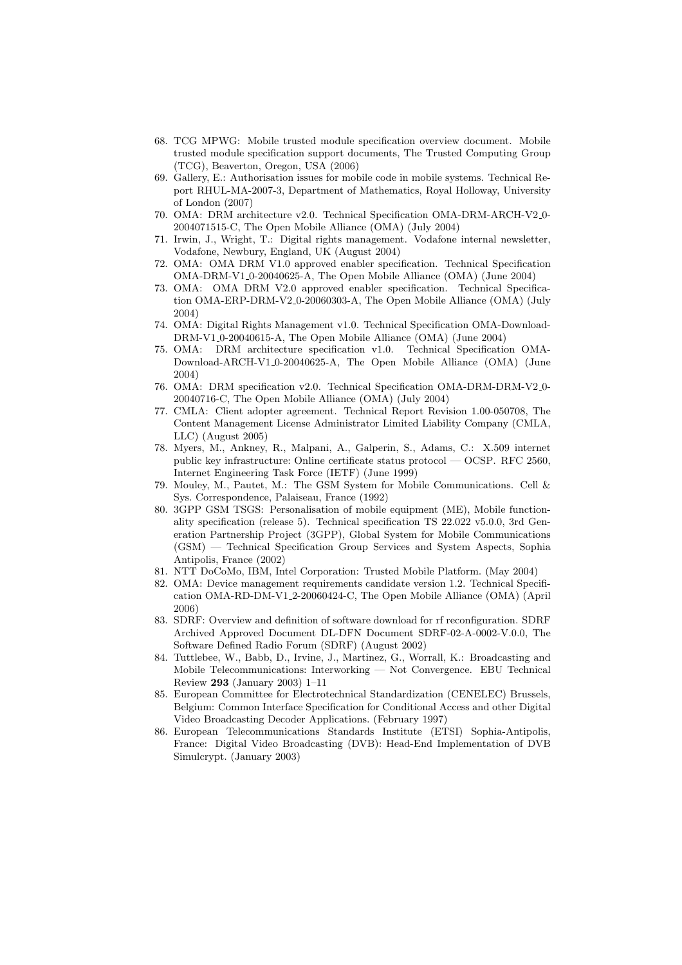- 68. TCG MPWG: Mobile trusted module specification overview document. Mobile trusted module specification support documents, The Trusted Computing Group (TCG), Beaverton, Oregon, USA (2006)
- 69. Gallery, E.: Authorisation issues for mobile code in mobile systems. Technical Report RHUL-MA-2007-3, Department of Mathematics, Royal Holloway, University of London (2007)
- 70. OMA: DRM architecture v2.0. Technical Specification OMA-DRM-ARCH-V2 0- 2004071515-C, The Open Mobile Alliance (OMA) (July 2004)
- 71. Irwin, J., Wright, T.: Digital rights management. Vodafone internal newsletter, Vodafone, Newbury, England, UK (August 2004)
- 72. OMA: OMA DRM V1.0 approved enabler specification. Technical Specification OMA-DRM-V1 0-20040625-A, The Open Mobile Alliance (OMA) (June 2004)
- 73. OMA: OMA DRM V2.0 approved enabler specification. Technical Specification OMA-ERP-DRM-V2 0-20060303-A, The Open Mobile Alliance (OMA) (July 2004)
- 74. OMA: Digital Rights Management v1.0. Technical Specification OMA-Download-DRM-V1 0-20040615-A, The Open Mobile Alliance (OMA) (June 2004)
- 75. OMA: DRM architecture specification v1.0. Technical Specification OMA-Download-ARCH-V1 0-20040625-A, The Open Mobile Alliance (OMA) (June 2004)
- 76. OMA: DRM specification v2.0. Technical Specification OMA-DRM-DRM-V2 0- 20040716-C, The Open Mobile Alliance (OMA) (July 2004)
- 77. CMLA: Client adopter agreement. Technical Report Revision 1.00-050708, The Content Management License Administrator Limited Liability Company (CMLA, LLC) (August 2005)
- 78. Myers, M., Ankney, R., Malpani, A., Galperin, S., Adams, C.: X.509 internet public key infrastructure: Online certificate status protocol — OCSP. RFC 2560, Internet Engineering Task Force (IETF) (June 1999)
- 79. Mouley, M., Pautet, M.: The GSM System for Mobile Communications. Cell & Sys. Correspondence, Palaiseau, France (1992)
- 80. 3GPP GSM TSGS: Personalisation of mobile equipment (ME), Mobile functionality specification (release 5). Technical specification TS 22.022 v5.0.0, 3rd Generation Partnership Project (3GPP), Global System for Mobile Communications (GSM) — Technical Specification Group Services and System Aspects, Sophia Antipolis, France (2002)
- 81. NTT DoCoMo, IBM, Intel Corporation: Trusted Mobile Platform. (May 2004)
- 82. OMA: Device management requirements candidate version 1.2. Technical Specification OMA-RD-DM-V1 2-20060424-C, The Open Mobile Alliance (OMA) (April 2006)
- 83. SDRF: Overview and definition of software download for rf reconfiguration. SDRF Archived Approved Document DL-DFN Document SDRF-02-A-0002-V.0.0, The Software Defined Radio Forum (SDRF) (August 2002)
- 84. Tuttlebee, W., Babb, D., Irvine, J., Martinez, G., Worrall, K.: Broadcasting and Mobile Telecommunications: Interworking — Not Convergence. EBU Technical Review 293 (January 2003) 1–11
- 85. European Committee for Electrotechnical Standardization (CENELEC) Brussels, Belgium: Common Interface Specification for Conditional Access and other Digital Video Broadcasting Decoder Applications. (February 1997)
- 86. European Telecommunications Standards Institute (ETSI) Sophia-Antipolis, France: Digital Video Broadcasting (DVB): Head-End Implementation of DVB Simulcrypt. (January 2003)